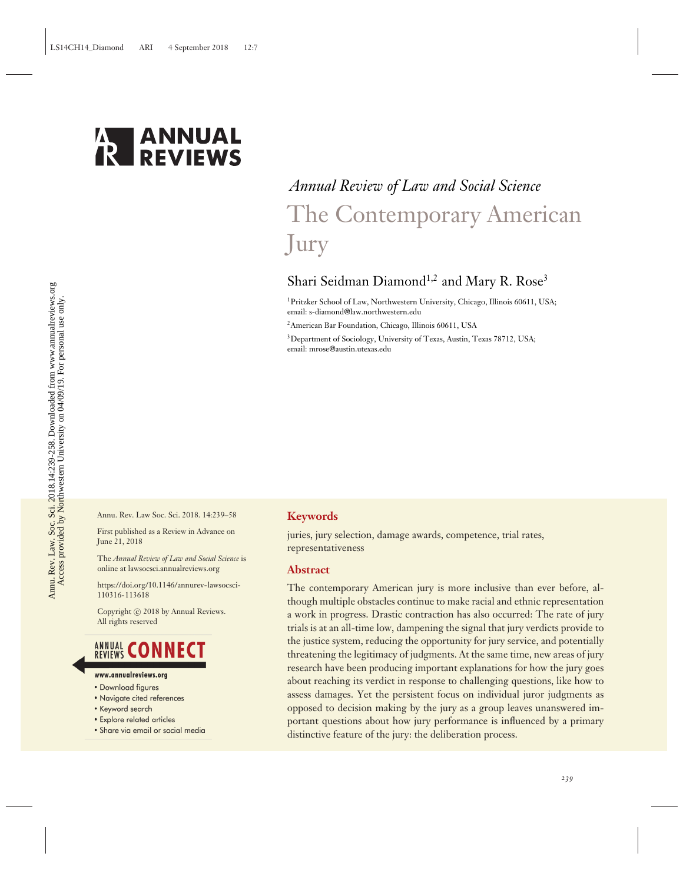

# *Annual Review of Law and Social Science* The Contemporary American Jury

Shari Seidman Diamond<sup>1,2</sup> and Mary R. Rose<sup>3</sup>

1Pritzker School of Law, Northwestern University, Chicago, Illinois 60611, USA; email: s-diamond@law.northwestern.edu

2American Bar Foundation, Chicago, Illinois 60611, USA

<sup>3</sup>Department of Sociology, University of Texas, Austin, Texas 78712, USA; email: mrose@austin.utexas.edu

Annu. Rev. Law Soc. Sci. 2018. 14:239–58

First published as a Review in Advance on June 21, 2018

The *Annual Review of Law and Social Science* is online at lawsocsci.annualreviews.org

[https://doi.org/10.1146/annurev-lawsocsci-](https://doi.org/10.1146/annurev-lawsocsci-110316-113618)[110316-113618](https://doi.org/10.1146/annurev-lawsocsci-110316-113618)

Copyright © 2018 by Annual Reviews. All rights reserved

## **ANNUAL CONNECT**

- www.annualreviews.org
- · Download figures
- · Navigate cited references
- Keyword search
- Explore related articles
- · Share via email or social media

### **Keywords**

juries, jury selection, damage awards, competence, trial rates, representativeness

### **Abstract**

The contemporary American jury is more inclusive than ever before, although multiple obstacles continue to make racial and ethnic representation a work in progress. Drastic contraction has also occurred: The rate of jury trials is at an all-time low, dampening the signal that jury verdicts provide to the justice system, reducing the opportunity for jury service, and potentially threatening the legitimacy of judgments. At the same time, new areas of jury research have been producing important explanations for how the jury goes about reaching its verdict in response to challenging questions, like how to assess damages. Yet the persistent focus on individual juror judgments as opposed to decision making by the jury as a group leaves unanswered important questions about how jury performance is influenced by a primary distinctive feature of the jury: the deliberation process.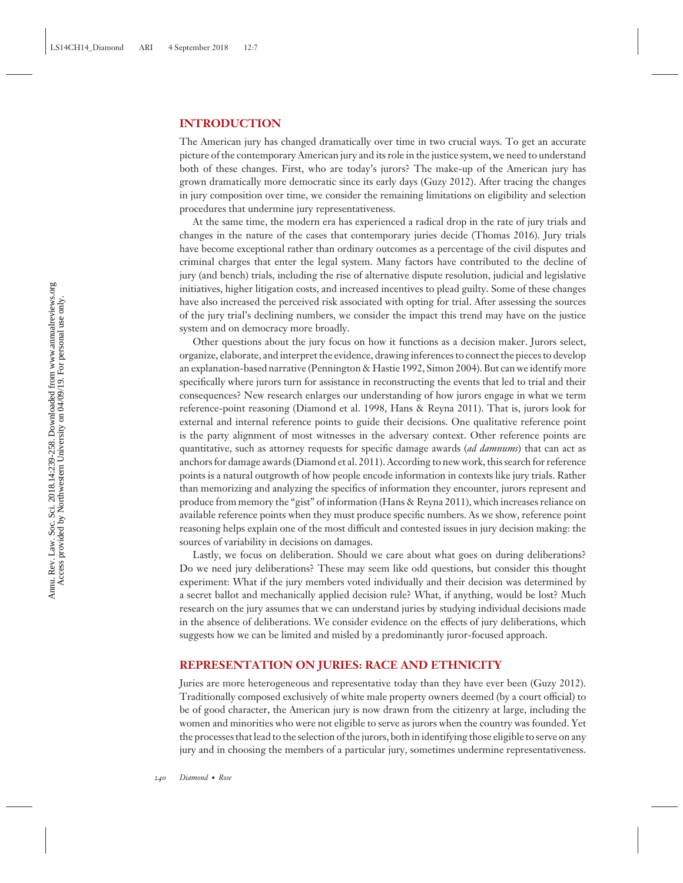### **INTRODUCTION**

The American jury has changed dramatically over time in two crucial ways. To get an accurate picture of the contemporary American jury and its role in the justice system, we need to understand both of these changes. First, who are today's jurors? The make-up of the American jury has grown dramatically more democratic since its early days (Guzy 2012). After tracing the changes in jury composition over time, we consider the remaining limitations on eligibility and selection procedures that undermine jury representativeness.

At the same time, the modern era has experienced a radical drop in the rate of jury trials and changes in the nature of the cases that contemporary juries decide (Thomas 2016). Jury trials have become exceptional rather than ordinary outcomes as a percentage of the civil disputes and criminal charges that enter the legal system. Many factors have contributed to the decline of jury (and bench) trials, including the rise of alternative dispute resolution, judicial and legislative initiatives, higher litigation costs, and increased incentives to plead guilty. Some of these changes have also increased the perceived risk associated with opting for trial. After assessing the sources of the jury trial's declining numbers, we consider the impact this trend may have on the justice system and on democracy more broadly.

Other questions about the jury focus on how it functions as a decision maker. Jurors select, organize, elaborate, and interpret the evidence, drawing inferences to connect the pieces to develop an explanation-based narrative (Pennington & Hastie 1992, Simon 2004). But can we identify more specifically where jurors turn for assistance in reconstructing the events that led to trial and their consequences? New research enlarges our understanding of how jurors engage in what we term reference-point reasoning (Diamond et al. 1998, Hans & Reyna 2011). That is, jurors look for external and internal reference points to guide their decisions. One qualitative reference point is the party alignment of most witnesses in the adversary context. Other reference points are quantitative, such as attorney requests for specific damage awards (*ad damnums*) that can act as anchors for damage awards (Diamond et al. 2011). According to new work, this search for reference points is a natural outgrowth of how people encode information in contexts like jury trials. Rather than memorizing and analyzing the specifics of information they encounter, jurors represent and produce from memory the "gist" of information (Hans & Reyna 2011), which increases reliance on available reference points when they must produce specific numbers. As we show, reference point reasoning helps explain one of the most difficult and contested issues in jury decision making: the sources of variability in decisions on damages.

Lastly, we focus on deliberation. Should we care about what goes on during deliberations? Do we need jury deliberations? These may seem like odd questions, but consider this thought experiment: What if the jury members voted individually and their decision was determined by a secret ballot and mechanically applied decision rule? What, if anything, would be lost? Much research on the jury assumes that we can understand juries by studying individual decisions made in the absence of deliberations. We consider evidence on the effects of jury deliberations, which suggests how we can be limited and misled by a predominantly juror-focused approach.

### **REPRESENTATION ON JURIES: RACE AND ETHNICITY**

Juries are more heterogeneous and representative today than they have ever been (Guzy 2012). Traditionally composed exclusively of white male property owners deemed (by a court official) to be of good character, the American jury is now drawn from the citizenry at large, including the women and minorities who were not eligible to serve as jurors when the country was founded. Yet the processes that lead to the selection of the jurors, both in identifying those eligible to serve on any jury and in choosing the members of a particular jury, sometimes undermine representativeness.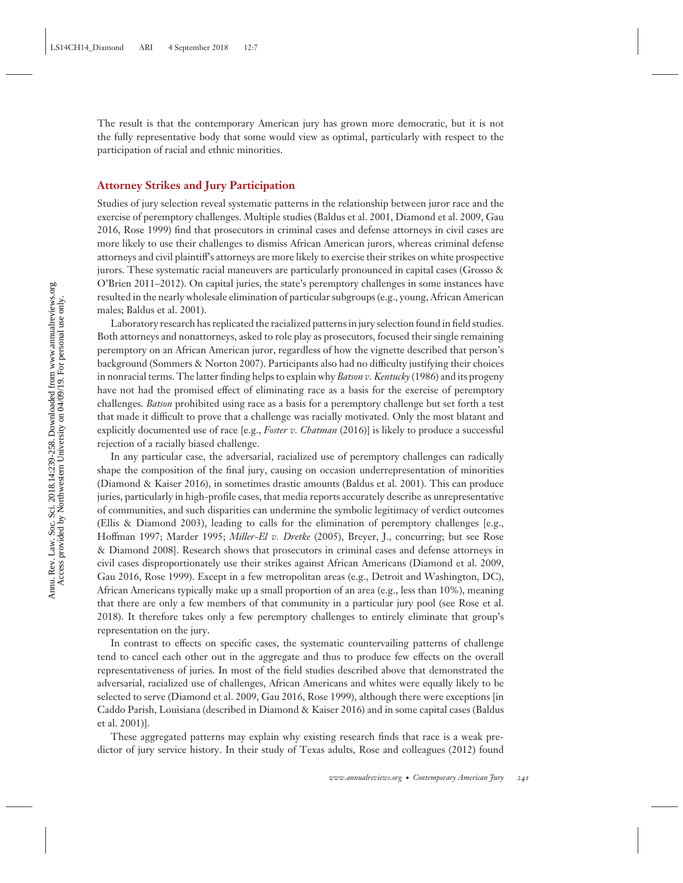The result is that the contemporary American jury has grown more democratic, but it is not the fully representative body that some would view as optimal, particularly with respect to the participation of racial and ethnic minorities.

### **Attorney Strikes and Jury Participation**

Studies of jury selection reveal systematic patterns in the relationship between juror race and the exercise of peremptory challenges. Multiple studies (Baldus et al. 2001, Diamond et al. 2009, Gau 2016, Rose 1999) find that prosecutors in criminal cases and defense attorneys in civil cases are more likely to use their challenges to dismiss African American jurors, whereas criminal defense attorneys and civil plaintiff's attorneys are more likely to exercise their strikes on white prospective jurors. These systematic racial maneuvers are particularly pronounced in capital cases (Grosso & O'Brien 2011–2012). On capital juries, the state's peremptory challenges in some instances have resulted in the nearly wholesale elimination of particular subgroups (e.g., young, African American males; Baldus et al. 2001).

Laboratory research has replicated the racialized patterns in jury selection found in field studies. Both attorneys and nonattorneys, asked to role play as prosecutors, focused their single remaining peremptory on an African American juror, regardless of how the vignette described that person's background (Sommers & Norton 2007). Participants also had no difficulty justifying their choices in nonracial terms. The latter finding helps to explain why *Batson v. Kentucky* (1986) and its progeny have not had the promised effect of eliminating race as a basis for the exercise of peremptory challenges. *Batson* prohibited using race as a basis for a peremptory challenge but set forth a test that made it difficult to prove that a challenge was racially motivated. Only the most blatant and explicitly documented use of race [e.g., *Foster v. Chatman* (2016)] is likely to produce a successful rejection of a racially biased challenge.

In any particular case, the adversarial, racialized use of peremptory challenges can radically shape the composition of the final jury, causing on occasion underrepresentation of minorities (Diamond & Kaiser 2016), in sometimes drastic amounts (Baldus et al. 2001). This can produce juries, particularly in high-profile cases, that media reports accurately describe as unrepresentative of communities, and such disparities can undermine the symbolic legitimacy of verdict outcomes (Ellis & Diamond 2003), leading to calls for the elimination of peremptory challenges [e.g., Hoffman 1997; Marder 1995; *Miller-El v. Dretke* (2005), Breyer, J., concurring; but see Rose & Diamond 2008]. Research shows that prosecutors in criminal cases and defense attorneys in civil cases disproportionately use their strikes against African Americans (Diamond et al. 2009, Gau 2016, Rose 1999). Except in a few metropolitan areas (e.g., Detroit and Washington, DC), African Americans typically make up a small proportion of an area (e.g., less than 10%), meaning that there are only a few members of that community in a particular jury pool (see Rose et al. 2018). It therefore takes only a few peremptory challenges to entirely eliminate that group's representation on the jury.

In contrast to effects on specific cases, the systematic countervailing patterns of challenge tend to cancel each other out in the aggregate and thus to produce few effects on the overall representativeness of juries. In most of the field studies described above that demonstrated the adversarial, racialized use of challenges, African Americans and whites were equally likely to be selected to serve (Diamond et al. 2009, Gau 2016, Rose 1999), although there were exceptions [in Caddo Parish, Louisiana (described in Diamond & Kaiser 2016) and in some capital cases (Baldus et al. 2001)].

These aggregated patterns may explain why existing research finds that race is a weak predictor of jury service history. In their study of Texas adults, Rose and colleagues (2012) found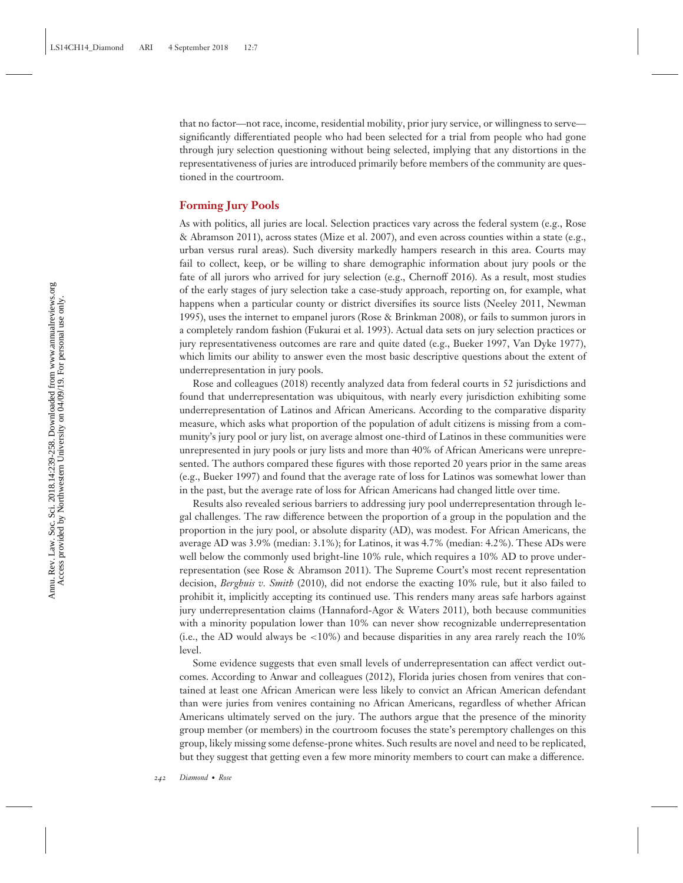that no factor—not race, income, residential mobility, prior jury service, or willingness to serve significantly differentiated people who had been selected for a trial from people who had gone through jury selection questioning without being selected, implying that any distortions in the representativeness of juries are introduced primarily before members of the community are questioned in the courtroom.

### **Forming Jury Pools**

As with politics, all juries are local. Selection practices vary across the federal system (e.g., Rose & Abramson 2011), across states (Mize et al. 2007), and even across counties within a state (e.g., urban versus rural areas). Such diversity markedly hampers research in this area. Courts may fail to collect, keep, or be willing to share demographic information about jury pools or the fate of all jurors who arrived for jury selection (e.g., Chernoff 2016). As a result, most studies of the early stages of jury selection take a case-study approach, reporting on, for example, what happens when a particular county or district diversifies its source lists (Neeley 2011, Newman 1995), uses the internet to empanel jurors (Rose & Brinkman 2008), or fails to summon jurors in a completely random fashion (Fukurai et al. 1993). Actual data sets on jury selection practices or jury representativeness outcomes are rare and quite dated (e.g., Bueker 1997, Van Dyke 1977), which limits our ability to answer even the most basic descriptive questions about the extent of underrepresentation in jury pools.

Rose and colleagues (2018) recently analyzed data from federal courts in 52 jurisdictions and found that underrepresentation was ubiquitous, with nearly every jurisdiction exhibiting some underrepresentation of Latinos and African Americans. According to the comparative disparity measure, which asks what proportion of the population of adult citizens is missing from a community's jury pool or jury list, on average almost one-third of Latinos in these communities were unrepresented in jury pools or jury lists and more than 40% of African Americans were unrepresented. The authors compared these figures with those reported 20 years prior in the same areas (e.g., Bueker 1997) and found that the average rate of loss for Latinos was somewhat lower than in the past, but the average rate of loss for African Americans had changed little over time.

Results also revealed serious barriers to addressing jury pool underrepresentation through legal challenges. The raw difference between the proportion of a group in the population and the proportion in the jury pool, or absolute disparity (AD), was modest. For African Americans, the average AD was 3.9% (median: 3.1%); for Latinos, it was 4.7% (median: 4.2%). These ADs were well below the commonly used bright-line 10% rule, which requires a 10% AD to prove underrepresentation (see Rose & Abramson 2011). The Supreme Court's most recent representation decision, *Berghuis v. Smith* (2010), did not endorse the exacting 10% rule, but it also failed to prohibit it, implicitly accepting its continued use. This renders many areas safe harbors against jury underrepresentation claims (Hannaford-Agor & Waters 2011), both because communities with a minority population lower than 10% can never show recognizable underrepresentation (i.e., the AD would always be *<*10%) and because disparities in any area rarely reach the 10% level.

Some evidence suggests that even small levels of underrepresentation can affect verdict outcomes. According to Anwar and colleagues (2012), Florida juries chosen from venires that contained at least one African American were less likely to convict an African American defendant than were juries from venires containing no African Americans, regardless of whether African Americans ultimately served on the jury. The authors argue that the presence of the minority group member (or members) in the courtroom focuses the state's peremptory challenges on this group, likely missing some defense-prone whites. Such results are novel and need to be replicated, but they suggest that getting even a few more minority members to court can make a difference.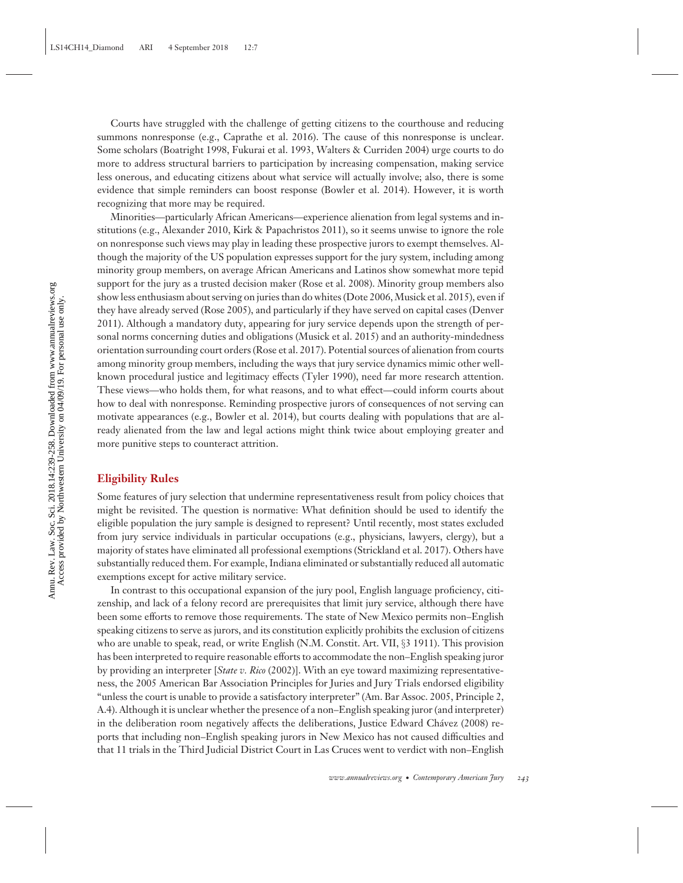Courts have struggled with the challenge of getting citizens to the courthouse and reducing summons nonresponse (e.g., Caprathe et al. 2016). The cause of this nonresponse is unclear. Some scholars (Boatright 1998, Fukurai et al. 1993, Walters & Curriden 2004) urge courts to do more to address structural barriers to participation by increasing compensation, making service less onerous, and educating citizens about what service will actually involve; also, there is some evidence that simple reminders can boost response (Bowler et al. 2014). However, it is worth recognizing that more may be required.

Minorities—particularly African Americans—experience alienation from legal systems and institutions (e.g., Alexander 2010, Kirk & Papachristos 2011), so it seems unwise to ignore the role on nonresponse such views may play in leading these prospective jurors to exempt themselves. Although the majority of the US population expresses support for the jury system, including among minority group members, on average African Americans and Latinos show somewhat more tepid support for the jury as a trusted decision maker (Rose et al. 2008). Minority group members also show less enthusiasm about serving on juries than do whites (Dote 2006, Musick et al. 2015), even if they have already served (Rose 2005), and particularly if they have served on capital cases (Denver 2011). Although a mandatory duty, appearing for jury service depends upon the strength of personal norms concerning duties and obligations (Musick et al. 2015) and an authority-mindedness orientation surrounding court orders (Rose et al. 2017). Potential sources of alienation from courts among minority group members, including the ways that jury service dynamics mimic other wellknown procedural justice and legitimacy effects (Tyler 1990), need far more research attention. These views—who holds them, for what reasons, and to what effect—could inform courts about how to deal with nonresponse. Reminding prospective jurors of consequences of not serving can motivate appearances (e.g., Bowler et al. 2014), but courts dealing with populations that are already alienated from the law and legal actions might think twice about employing greater and more punitive steps to counteract attrition.

### **Eligibility Rules**

Some features of jury selection that undermine representativeness result from policy choices that might be revisited. The question is normative: What definition should be used to identify the eligible population the jury sample is designed to represent? Until recently, most states excluded from jury service individuals in particular occupations (e.g., physicians, lawyers, clergy), but a majority of states have eliminated all professional exemptions (Strickland et al. 2017). Others have substantially reduced them. For example, Indiana eliminated or substantially reduced all automatic exemptions except for active military service.

In contrast to this occupational expansion of the jury pool, English language proficiency, citizenship, and lack of a felony record are prerequisites that limit jury service, although there have been some efforts to remove those requirements. The state of New Mexico permits non–English speaking citizens to serve as jurors, and its constitution explicitly prohibits the exclusion of citizens who are unable to speak, read, or write English (N.M. Constit. Art. VII, §3 1911). This provision has been interpreted to require reasonable efforts to accommodate the non–English speaking juror by providing an interpreter [*State v. Rico* (2002)]. With an eye toward maximizing representativeness, the 2005 American Bar Association Principles for Juries and Jury Trials endorsed eligibility "unless the court is unable to provide a satisfactory interpreter" (Am. Bar Assoc. 2005, Principle 2, A.4). Although it is unclear whether the presence of a non–English speaking juror (and interpreter) in the deliberation room negatively affects the deliberations, Justice Edward Chávez (2008) reports that including non–English speaking jurors in New Mexico has not caused difficulties and that 11 trials in the Third Judicial District Court in Las Cruces went to verdict with non–English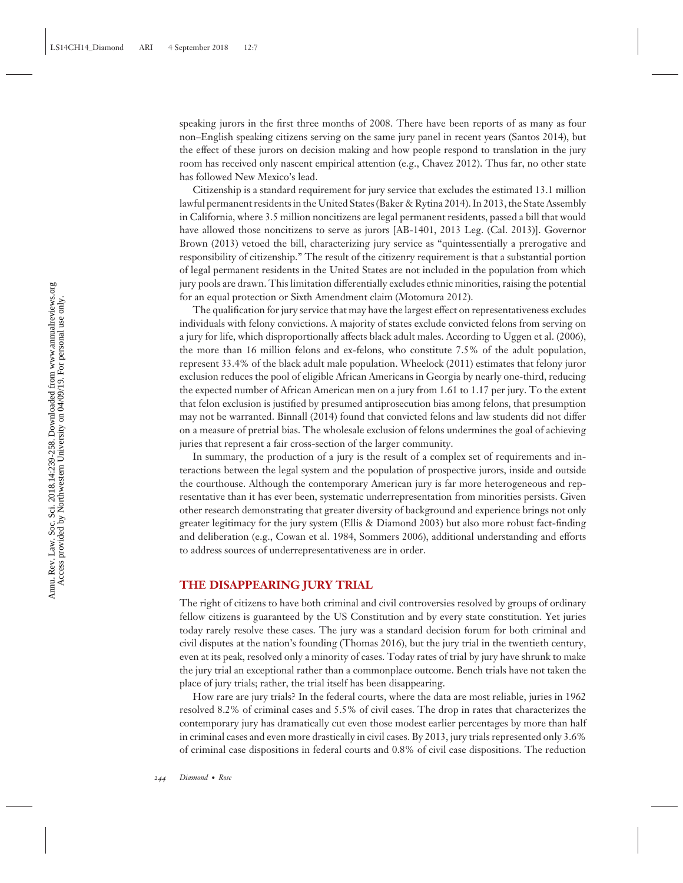speaking jurors in the first three months of 2008. There have been reports of as many as four non–English speaking citizens serving on the same jury panel in recent years (Santos 2014), but the effect of these jurors on decision making and how people respond to translation in the jury room has received only nascent empirical attention (e.g., Chavez 2012). Thus far, no other state has followed New Mexico's lead.

Citizenship is a standard requirement for jury service that excludes the estimated 13.1 million lawful permanent residents in the United States (Baker & Rytina 2014). In 2013, the State Assembly in California, where 3.5 million noncitizens are legal permanent residents, passed a bill that would have allowed those noncitizens to serve as jurors [AB-1401, 2013 Leg. (Cal. 2013)]. Governor Brown (2013) vetoed the bill, characterizing jury service as "quintessentially a prerogative and responsibility of citizenship." The result of the citizenry requirement is that a substantial portion of legal permanent residents in the United States are not included in the population from which jury pools are drawn. This limitation differentially excludes ethnic minorities, raising the potential for an equal protection or Sixth Amendment claim (Motomura 2012).

The qualification for jury service that may have the largest effect on representativeness excludes individuals with felony convictions. A majority of states exclude convicted felons from serving on a jury for life, which disproportionally affects black adult males. According to Uggen et al. (2006), the more than 16 million felons and ex-felons, who constitute 7.5% of the adult population, represent 33.4% of the black adult male population. Wheelock (2011) estimates that felony juror exclusion reduces the pool of eligible African Americans in Georgia by nearly one-third, reducing the expected number of African American men on a jury from 1.61 to 1.17 per jury. To the extent that felon exclusion is justified by presumed antiprosecution bias among felons, that presumption may not be warranted. Binnall (2014) found that convicted felons and law students did not differ on a measure of pretrial bias. The wholesale exclusion of felons undermines the goal of achieving juries that represent a fair cross-section of the larger community.

In summary, the production of a jury is the result of a complex set of requirements and interactions between the legal system and the population of prospective jurors, inside and outside the courthouse. Although the contemporary American jury is far more heterogeneous and representative than it has ever been, systematic underrepresentation from minorities persists. Given other research demonstrating that greater diversity of background and experience brings not only greater legitimacy for the jury system (Ellis & Diamond 2003) but also more robust fact-finding and deliberation (e.g., Cowan et al. 1984, Sommers 2006), additional understanding and efforts to address sources of underrepresentativeness are in order.

### **THE DISAPPEARING JURY TRIAL**

The right of citizens to have both criminal and civil controversies resolved by groups of ordinary fellow citizens is guaranteed by the US Constitution and by every state constitution. Yet juries today rarely resolve these cases. The jury was a standard decision forum for both criminal and civil disputes at the nation's founding (Thomas 2016), but the jury trial in the twentieth century, even at its peak, resolved only a minority of cases. Today rates of trial by jury have shrunk to make the jury trial an exceptional rather than a commonplace outcome. Bench trials have not taken the place of jury trials; rather, the trial itself has been disappearing.

How rare are jury trials? In the federal courts, where the data are most reliable, juries in 1962 resolved 8.2% of criminal cases and 5.5% of civil cases. The drop in rates that characterizes the contemporary jury has dramatically cut even those modest earlier percentages by more than half in criminal cases and even more drastically in civil cases. By 2013, jury trials represented only 3.6% of criminal case dispositions in federal courts and 0.8% of civil case dispositions. The reduction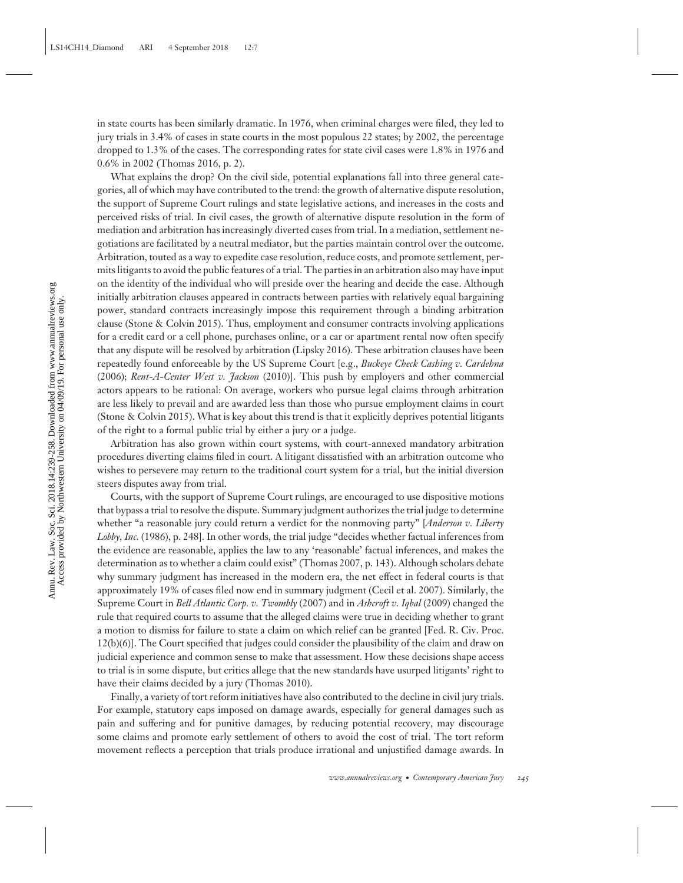in state courts has been similarly dramatic. In 1976, when criminal charges were filed, they led to jury trials in 3.4% of cases in state courts in the most populous 22 states; by 2002, the percentage dropped to 1.3% of the cases. The corresponding rates for state civil cases were 1.8% in 1976 and 0.6% in 2002 (Thomas 2016, p. 2).

What explains the drop? On the civil side, potential explanations fall into three general categories, all of which may have contributed to the trend: the growth of alternative dispute resolution, the support of Supreme Court rulings and state legislative actions, and increases in the costs and perceived risks of trial. In civil cases, the growth of alternative dispute resolution in the form of mediation and arbitration has increasingly diverted cases from trial. In a mediation, settlement negotiations are facilitated by a neutral mediator, but the parties maintain control over the outcome. Arbitration, touted as a way to expedite case resolution, reduce costs, and promote settlement, permits litigants to avoid the public features of a trial. The parties in an arbitration also may have input on the identity of the individual who will preside over the hearing and decide the case. Although initially arbitration clauses appeared in contracts between parties with relatively equal bargaining power, standard contracts increasingly impose this requirement through a binding arbitration clause (Stone & Colvin 2015). Thus, employment and consumer contracts involving applications for a credit card or a cell phone, purchases online, or a car or apartment rental now often specify that any dispute will be resolved by arbitration (Lipsky 2016). These arbitration clauses have been repeatedly found enforceable by the US Supreme Court [e.g., *Buckeye Check Cashing v. Cardehna* (2006); *Rent-A-Center West v. Jackson* (2010)]. This push by employers and other commercial actors appears to be rational: On average, workers who pursue legal claims through arbitration are less likely to prevail and are awarded less than those who pursue employment claims in court (Stone & Colvin 2015). What is key about this trend is that it explicitly deprives potential litigants of the right to a formal public trial by either a jury or a judge.

Arbitration has also grown within court systems, with court-annexed mandatory arbitration procedures diverting claims filed in court. A litigant dissatisfied with an arbitration outcome who wishes to persevere may return to the traditional court system for a trial, but the initial diversion steers disputes away from trial.

Courts, with the support of Supreme Court rulings, are encouraged to use dispositive motions that bypass a trial to resolve the dispute. Summary judgment authorizes the trial judge to determine whether "a reasonable jury could return a verdict for the nonmoving party" [*Anderson v. Liberty Lobby, Inc.* (1986), p. 248]. In other words, the trial judge "decides whether factual inferences from the evidence are reasonable, applies the law to any 'reasonable' factual inferences, and makes the determination as to whether a claim could exist" (Thomas 2007, p. 143). Although scholars debate why summary judgment has increased in the modern era, the net effect in federal courts is that approximately 19% of cases filed now end in summary judgment (Cecil et al. 2007). Similarly, the Supreme Court in *Bell Atlantic Corp. v. Twombly* (2007) and in *Ashcroft v. Iqbal* (2009) changed the rule that required courts to assume that the alleged claims were true in deciding whether to grant a motion to dismiss for failure to state a claim on which relief can be granted [Fed. R. Civ. Proc. 12(b)(6)]. The Court specified that judges could consider the plausibility of the claim and draw on judicial experience and common sense to make that assessment. How these decisions shape access to trial is in some dispute, but critics allege that the new standards have usurped litigants' right to have their claims decided by a jury (Thomas 2010).

Finally, a variety of tort reform initiatives have also contributed to the decline in civil jury trials. For example, statutory caps imposed on damage awards, especially for general damages such as pain and suffering and for punitive damages, by reducing potential recovery, may discourage some claims and promote early settlement of others to avoid the cost of trial. The tort reform movement reflects a perception that trials produce irrational and unjustified damage awards. In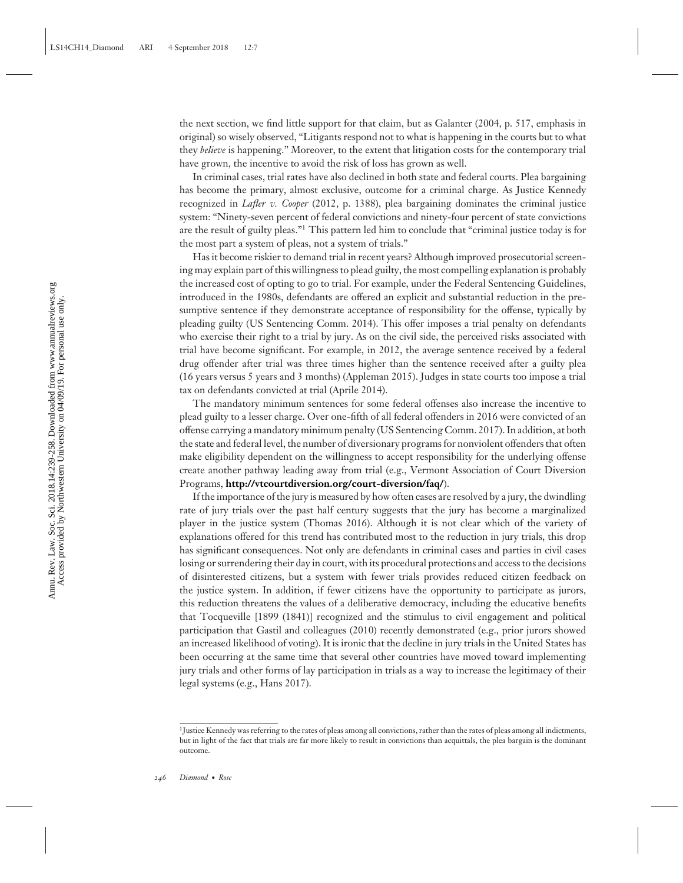the next section, we find little support for that claim, but as Galanter (2004, p. 517, emphasis in original) so wisely observed, "Litigants respond not to what is happening in the courts but to what they *believe* is happening." Moreover, to the extent that litigation costs for the contemporary trial have grown, the incentive to avoid the risk of loss has grown as well.

In criminal cases, trial rates have also declined in both state and federal courts. Plea bargaining has become the primary, almost exclusive, outcome for a criminal charge. As Justice Kennedy recognized in *Lafler v. Cooper* (2012, p. 1388), plea bargaining dominates the criminal justice system: "Ninety-seven percent of federal convictions and ninety-four percent of state convictions are the result of guilty pleas."<sup>1</sup> This pattern led him to conclude that "criminal justice today is for the most part a system of pleas, not a system of trials."

Has it become riskier to demand trial in recent years? Although improved prosecutorial screening may explain part of this willingness to plead guilty, the most compelling explanation is probably the increased cost of opting to go to trial. For example, under the Federal Sentencing Guidelines, introduced in the 1980s, defendants are offered an explicit and substantial reduction in the presumptive sentence if they demonstrate acceptance of responsibility for the offense, typically by pleading guilty (US Sentencing Comm. 2014). This offer imposes a trial penalty on defendants who exercise their right to a trial by jury. As on the civil side, the perceived risks associated with trial have become significant. For example, in 2012, the average sentence received by a federal drug offender after trial was three times higher than the sentence received after a guilty plea (16 years versus 5 years and 3 months) (Appleman 2015). Judges in state courts too impose a trial tax on defendants convicted at trial (Aprile 2014).

The mandatory minimum sentences for some federal offenses also increase the incentive to plead guilty to a lesser charge. Over one-fifth of all federal offenders in 2016 were convicted of an offense carrying a mandatory minimum penalty (US Sentencing Comm. 2017). In addition, at both the state and federal level, the number of diversionary programs for nonviolent offenders that often make eligibility dependent on the willingness to accept responsibility for the underlying offense create another pathway leading away from trial (e.g., Vermont Association of Court Diversion Programs, **<http://vtcourtdiversion.org/court-diversion/faq/>**).

If the importance of the jury is measured by how often cases are resolved by a jury, the dwindling rate of jury trials over the past half century suggests that the jury has become a marginalized player in the justice system (Thomas 2016). Although it is not clear which of the variety of explanations offered for this trend has contributed most to the reduction in jury trials, this drop has significant consequences. Not only are defendants in criminal cases and parties in civil cases losing or surrendering their day in court, with its procedural protections and access to the decisions of disinterested citizens, but a system with fewer trials provides reduced citizen feedback on the justice system. In addition, if fewer citizens have the opportunity to participate as jurors, this reduction threatens the values of a deliberative democracy, including the educative benefits that Tocqueville [1899 (1841)] recognized and the stimulus to civil engagement and political participation that Gastil and colleagues (2010) recently demonstrated (e.g., prior jurors showed an increased likelihood of voting). It is ironic that the decline in jury trials in the United States has been occurring at the same time that several other countries have moved toward implementing jury trials and other forms of lay participation in trials as a way to increase the legitimacy of their legal systems (e.g., Hans 2017).

<sup>1</sup>Justice Kennedy was referring to the rates of pleas among all convictions, rather than the rates of pleas among all indictments, but in light of the fact that trials are far more likely to result in convictions than acquittals, the plea bargain is the dominant outcome.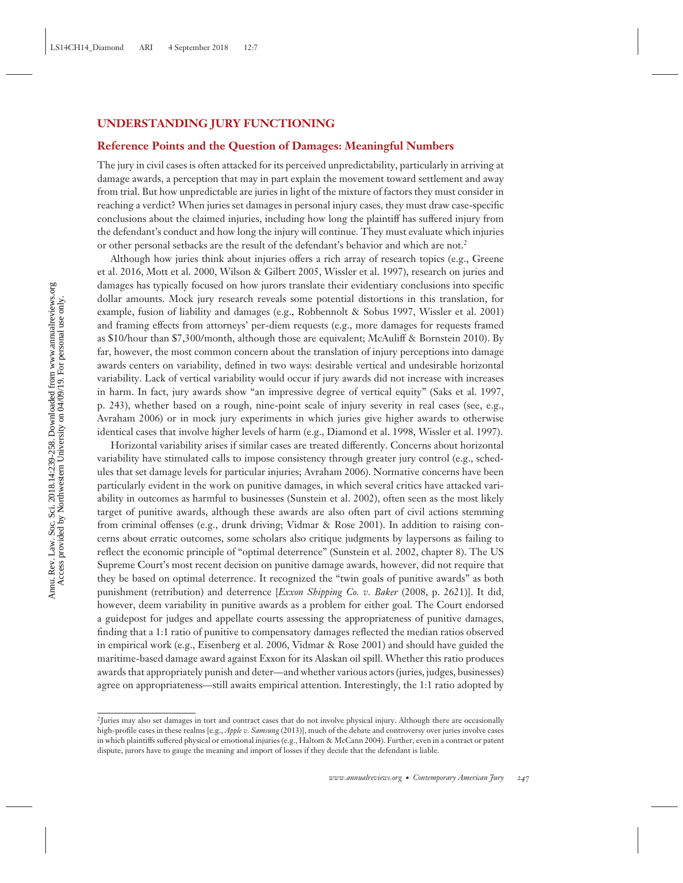### **UNDERSTANDING JURY FUNCTIONING**

### **Reference Points and the Question of Damages: Meaningful Numbers**

The jury in civil cases is often attacked for its perceived unpredictability, particularly in arriving at damage awards, a perception that may in part explain the movement toward settlement and away from trial. But how unpredictable are juries in light of the mixture of factors they must consider in reaching a verdict? When juries set damages in personal injury cases, they must draw case-specific conclusions about the claimed injuries, including how long the plaintiff has suffered injury from the defendant's conduct and how long the injury will continue. They must evaluate which injuries or other personal setbacks are the result of the defendant's behavior and which are not.<sup>2</sup>

Although how juries think about injuries offers a rich array of research topics (e.g., Greene et al. 2016, Mott et al. 2000, Wilson & Gilbert 2005, Wissler et al. 1997), research on juries and damages has typically focused on how jurors translate their evidentiary conclusions into specific dollar amounts. Mock jury research reveals some potential distortions in this translation, for example, fusion of liability and damages (e.g., Robbennolt & Sobus 1997, Wissler et al. 2001) and framing effects from attorneys' per-diem requests (e.g., more damages for requests framed as \$10/hour than \$7,300/month, although those are equivalent; McAuliff & Bornstein 2010). By far, however, the most common concern about the translation of injury perceptions into damage awards centers on variability, defined in two ways: desirable vertical and undesirable horizontal variability. Lack of vertical variability would occur if jury awards did not increase with increases in harm. In fact, jury awards show "an impressive degree of vertical equity" (Saks et al. 1997, p. 243), whether based on a rough, nine-point scale of injury severity in real cases (see, e.g., Avraham 2006) or in mock jury experiments in which juries give higher awards to otherwise identical cases that involve higher levels of harm (e.g., Diamond et al. 1998, Wissler et al. 1997).

Horizontal variability arises if similar cases are treated differently. Concerns about horizontal variability have stimulated calls to impose consistency through greater jury control (e.g., schedules that set damage levels for particular injuries; Avraham 2006). Normative concerns have been particularly evident in the work on punitive damages, in which several critics have attacked variability in outcomes as harmful to businesses (Sunstein et al. 2002), often seen as the most likely target of punitive awards, although these awards are also often part of civil actions stemming from criminal offenses (e.g., drunk driving; Vidmar & Rose 2001). In addition to raising concerns about erratic outcomes, some scholars also critique judgments by laypersons as failing to reflect the economic principle of "optimal deterrence" (Sunstein et al. 2002, chapter 8). The US Supreme Court's most recent decision on punitive damage awards, however, did not require that they be based on optimal deterrence. It recognized the "twin goals of punitive awards" as both punishment (retribution) and deterrence [*Exxon Shipping Co. v. Baker* (2008, p. 2621)]. It did, however, deem variability in punitive awards as a problem for either goal. The Court endorsed a guidepost for judges and appellate courts assessing the appropriateness of punitive damages, finding that a 1:1 ratio of punitive to compensatory damages reflected the median ratios observed in empirical work (e.g., Eisenberg et al. 2006, Vidmar & Rose 2001) and should have guided the maritime-based damage award against Exxon for its Alaskan oil spill. Whether this ratio produces awards that appropriately punish and deter—and whether various actors (juries, judges, businesses) agree on appropriateness—still awaits empirical attention. Interestingly, the 1:1 ratio adopted by

<sup>2</sup>Juries may also set damages in tort and contract cases that do not involve physical injury. Although there are occasionally high-profile cases in these realms [e.g., *Apple v. Samsung* (2013)], much of the debate and controversy over juries involve cases in which plaintiffs suffered physical or emotional injuries (e.g., Haltom & McCann 2004). Further, even in a contract or patent dispute, jurors have to gauge the meaning and import of losses if they decide that the defendant is liable.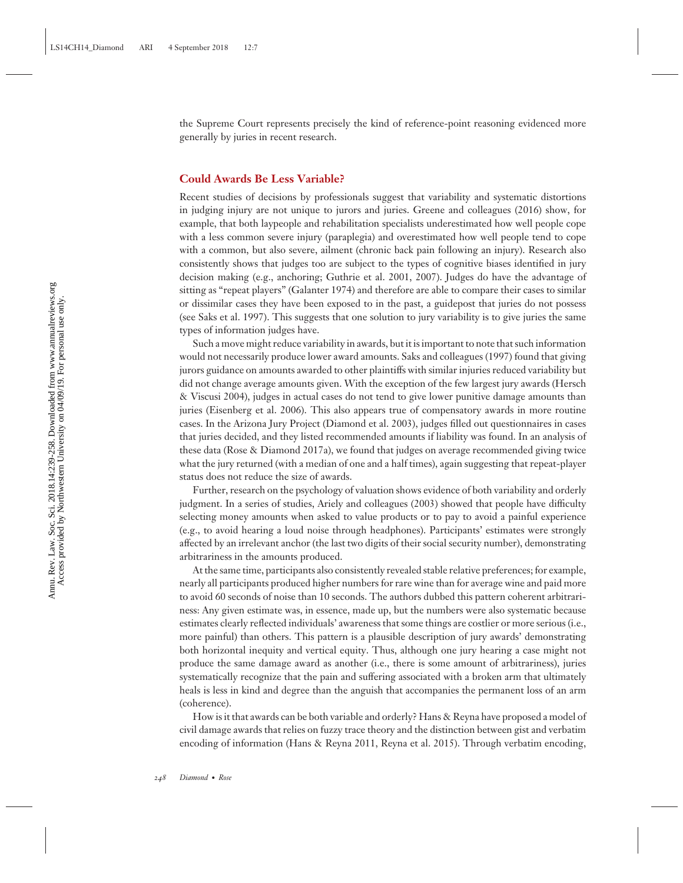the Supreme Court represents precisely the kind of reference-point reasoning evidenced more generally by juries in recent research.

### **Could Awards Be Less Variable?**

Recent studies of decisions by professionals suggest that variability and systematic distortions in judging injury are not unique to jurors and juries. Greene and colleagues (2016) show, for example, that both laypeople and rehabilitation specialists underestimated how well people cope with a less common severe injury (paraplegia) and overestimated how well people tend to cope with a common, but also severe, ailment (chronic back pain following an injury). Research also consistently shows that judges too are subject to the types of cognitive biases identified in jury decision making (e.g., anchoring; Guthrie et al. 2001, 2007). Judges do have the advantage of sitting as "repeat players" (Galanter 1974) and therefore are able to compare their cases to similar or dissimilar cases they have been exposed to in the past, a guidepost that juries do not possess (see Saks et al. 1997). This suggests that one solution to jury variability is to give juries the same types of information judges have.

Such a move might reduce variability in awards, but it is important to note that such information would not necessarily produce lower award amounts. Saks and colleagues (1997) found that giving jurors guidance on amounts awarded to other plaintiffs with similar injuries reduced variability but did not change average amounts given. With the exception of the few largest jury awards (Hersch & Viscusi 2004), judges in actual cases do not tend to give lower punitive damage amounts than juries (Eisenberg et al. 2006). This also appears true of compensatory awards in more routine cases. In the Arizona Jury Project (Diamond et al. 2003), judges filled out questionnaires in cases that juries decided, and they listed recommended amounts if liability was found. In an analysis of these data (Rose & Diamond 2017a), we found that judges on average recommended giving twice what the jury returned (with a median of one and a half times), again suggesting that repeat-player status does not reduce the size of awards.

Further, research on the psychology of valuation shows evidence of both variability and orderly judgment. In a series of studies, Ariely and colleagues (2003) showed that people have difficulty selecting money amounts when asked to value products or to pay to avoid a painful experience (e.g., to avoid hearing a loud noise through headphones). Participants' estimates were strongly affected by an irrelevant anchor (the last two digits of their social security number), demonstrating arbitrariness in the amounts produced.

At the same time, participants also consistently revealed stable relative preferences; for example, nearly all participants produced higher numbers for rare wine than for average wine and paid more to avoid 60 seconds of noise than 10 seconds. The authors dubbed this pattern coherent arbitrariness: Any given estimate was, in essence, made up, but the numbers were also systematic because estimates clearly reflected individuals' awareness that some things are costlier or more serious (i.e., more painful) than others. This pattern is a plausible description of jury awards' demonstrating both horizontal inequity and vertical equity. Thus, although one jury hearing a case might not produce the same damage award as another (i.e., there is some amount of arbitrariness), juries systematically recognize that the pain and suffering associated with a broken arm that ultimately heals is less in kind and degree than the anguish that accompanies the permanent loss of an arm (coherence).

How is it that awards can be both variable and orderly? Hans & Reyna have proposed a model of civil damage awards that relies on fuzzy trace theory and the distinction between gist and verbatim encoding of information (Hans & Reyna 2011, Reyna et al. 2015). Through verbatim encoding,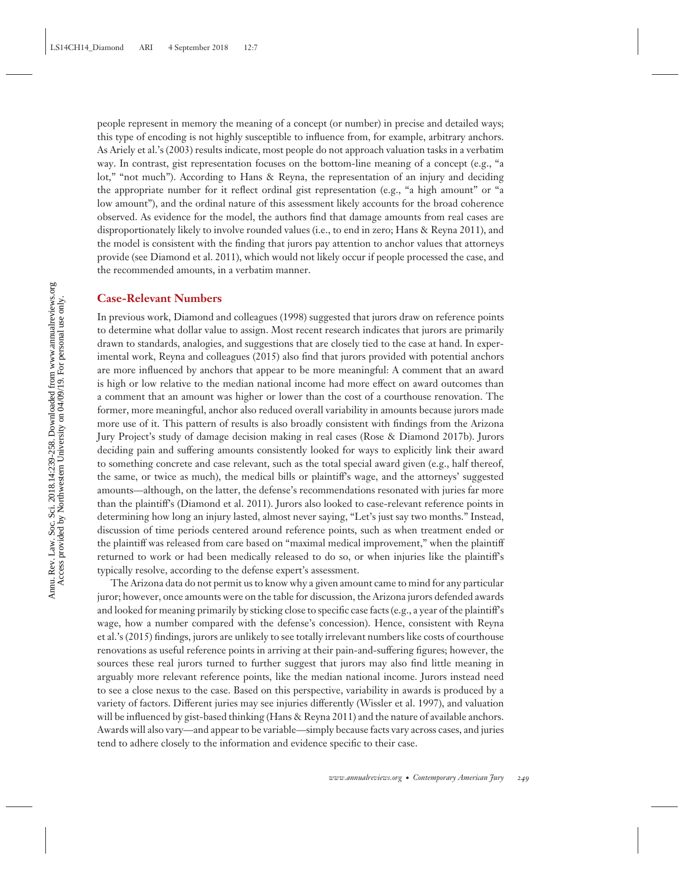people represent in memory the meaning of a concept (or number) in precise and detailed ways; this type of encoding is not highly susceptible to influence from, for example, arbitrary anchors. As Ariely et al.'s (2003) results indicate, most people do not approach valuation tasks in a verbatim way. In contrast, gist representation focuses on the bottom-line meaning of a concept (e.g., "a lot," "not much"). According to Hans & Reyna, the representation of an injury and deciding the appropriate number for it reflect ordinal gist representation (e.g., "a high amount" or "a low amount"), and the ordinal nature of this assessment likely accounts for the broad coherence observed. As evidence for the model, the authors find that damage amounts from real cases are disproportionately likely to involve rounded values (i.e., to end in zero; Hans & Reyna 2011), and the model is consistent with the finding that jurors pay attention to anchor values that attorneys provide (see Diamond et al. 2011), which would not likely occur if people processed the case, and the recommended amounts, in a verbatim manner.

### **Case-Relevant Numbers**

In previous work, Diamond and colleagues (1998) suggested that jurors draw on reference points to determine what dollar value to assign. Most recent research indicates that jurors are primarily drawn to standards, analogies, and suggestions that are closely tied to the case at hand. In experimental work, Reyna and colleagues (2015) also find that jurors provided with potential anchors are more influenced by anchors that appear to be more meaningful: A comment that an award is high or low relative to the median national income had more effect on award outcomes than a comment that an amount was higher or lower than the cost of a courthouse renovation. The former, more meaningful, anchor also reduced overall variability in amounts because jurors made more use of it. This pattern of results is also broadly consistent with findings from the Arizona Jury Project's study of damage decision making in real cases (Rose & Diamond 2017b). Jurors deciding pain and suffering amounts consistently looked for ways to explicitly link their award to something concrete and case relevant, such as the total special award given (e.g., half thereof, the same, or twice as much), the medical bills or plaintiff's wage, and the attorneys' suggested amounts—although, on the latter, the defense's recommendations resonated with juries far more than the plaintiff's (Diamond et al. 2011). Jurors also looked to case-relevant reference points in determining how long an injury lasted, almost never saying, "Let's just say two months." Instead, discussion of time periods centered around reference points, such as when treatment ended or the plaintiff was released from care based on "maximal medical improvement," when the plaintiff returned to work or had been medically released to do so, or when injuries like the plaintiff's typically resolve, according to the defense expert's assessment.

The Arizona data do not permit us to know why a given amount came to mind for any particular juror; however, once amounts were on the table for discussion, the Arizona jurors defended awards and looked for meaning primarily by sticking close to specific case facts (e.g., a year of the plaintiff's wage, how a number compared with the defense's concession). Hence, consistent with Reyna et al.'s (2015) findings, jurors are unlikely to see totally irrelevant numbers like costs of courthouse renovations as useful reference points in arriving at their pain-and-suffering figures; however, the sources these real jurors turned to further suggest that jurors may also find little meaning in arguably more relevant reference points, like the median national income. Jurors instead need to see a close nexus to the case. Based on this perspective, variability in awards is produced by a variety of factors. Different juries may see injuries differently (Wissler et al. 1997), and valuation will be influenced by gist-based thinking (Hans & Reyna 2011) and the nature of available anchors. Awards will also vary—and appear to be variable—simply because facts vary across cases, and juries tend to adhere closely to the information and evidence specific to their case.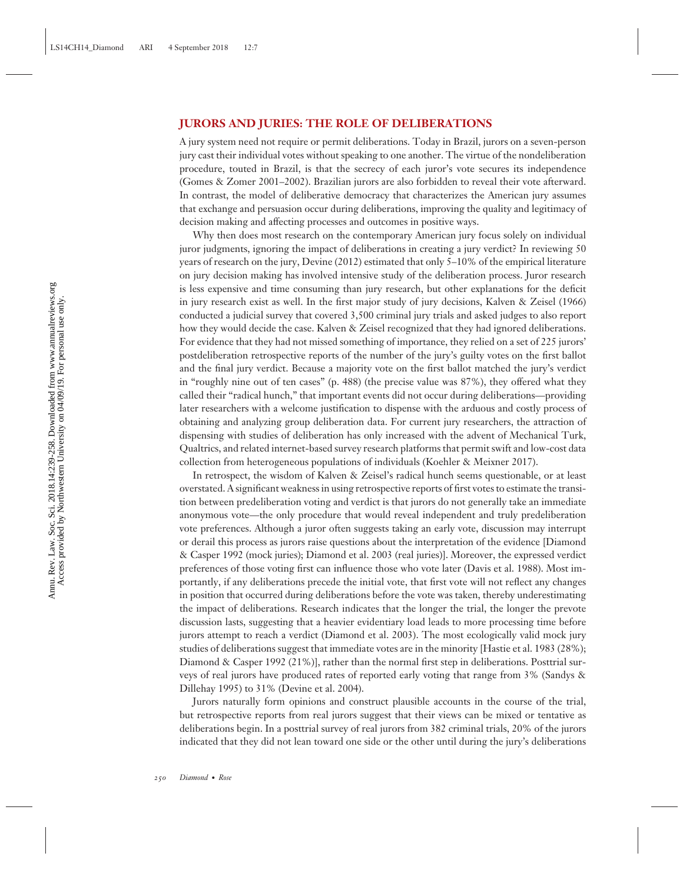### **JURORS AND JURIES: THE ROLE OF DELIBERATIONS**

A jury system need not require or permit deliberations. Today in Brazil, jurors on a seven-person jury cast their individual votes without speaking to one another. The virtue of the nondeliberation procedure, touted in Brazil, is that the secrecy of each juror's vote secures its independence (Gomes & Zomer 2001–2002). Brazilian jurors are also forbidden to reveal their vote afterward. In contrast, the model of deliberative democracy that characterizes the American jury assumes that exchange and persuasion occur during deliberations, improving the quality and legitimacy of decision making and affecting processes and outcomes in positive ways.

Why then does most research on the contemporary American jury focus solely on individual juror judgments, ignoring the impact of deliberations in creating a jury verdict? In reviewing 50 years of research on the jury, Devine (2012) estimated that only 5–10% of the empirical literature on jury decision making has involved intensive study of the deliberation process. Juror research is less expensive and time consuming than jury research, but other explanations for the deficit in jury research exist as well. In the first major study of jury decisions, Kalven & Zeisel (1966) conducted a judicial survey that covered 3,500 criminal jury trials and asked judges to also report how they would decide the case. Kalven & Zeisel recognized that they had ignored deliberations. For evidence that they had not missed something of importance, they relied on a set of 225 jurors' postdeliberation retrospective reports of the number of the jury's guilty votes on the first ballot and the final jury verdict. Because a majority vote on the first ballot matched the jury's verdict in "roughly nine out of ten cases" (p. 488) (the precise value was 87%), they offered what they called their "radical hunch," that important events did not occur during deliberations—providing later researchers with a welcome justification to dispense with the arduous and costly process of obtaining and analyzing group deliberation data. For current jury researchers, the attraction of dispensing with studies of deliberation has only increased with the advent of Mechanical Turk, Qualtrics, and related internet-based survey research platforms that permit swift and low-cost data collection from heterogeneous populations of individuals (Koehler & Meixner 2017).

In retrospect, the wisdom of Kalven & Zeisel's radical hunch seems questionable, or at least overstated. A significant weakness in using retrospective reports of first votes to estimate the transition between predeliberation voting and verdict is that jurors do not generally take an immediate anonymous vote—the only procedure that would reveal independent and truly predeliberation vote preferences. Although a juror often suggests taking an early vote, discussion may interrupt or derail this process as jurors raise questions about the interpretation of the evidence [Diamond & Casper 1992 (mock juries); Diamond et al. 2003 (real juries)]. Moreover, the expressed verdict preferences of those voting first can influence those who vote later (Davis et al. 1988). Most importantly, if any deliberations precede the initial vote, that first vote will not reflect any changes in position that occurred during deliberations before the vote was taken, thereby underestimating the impact of deliberations. Research indicates that the longer the trial, the longer the prevote discussion lasts, suggesting that a heavier evidentiary load leads to more processing time before jurors attempt to reach a verdict (Diamond et al. 2003). The most ecologically valid mock jury studies of deliberations suggest that immediate votes are in the minority [Hastie et al. 1983 (28%); Diamond & Casper 1992 (21%)], rather than the normal first step in deliberations. Posttrial surveys of real jurors have produced rates of reported early voting that range from 3% (Sandys & Dillehay 1995) to 31% (Devine et al. 2004).

Jurors naturally form opinions and construct plausible accounts in the course of the trial, but retrospective reports from real jurors suggest that their views can be mixed or tentative as deliberations begin. In a posttrial survey of real jurors from 382 criminal trials, 20% of the jurors indicated that they did not lean toward one side or the other until during the jury's deliberations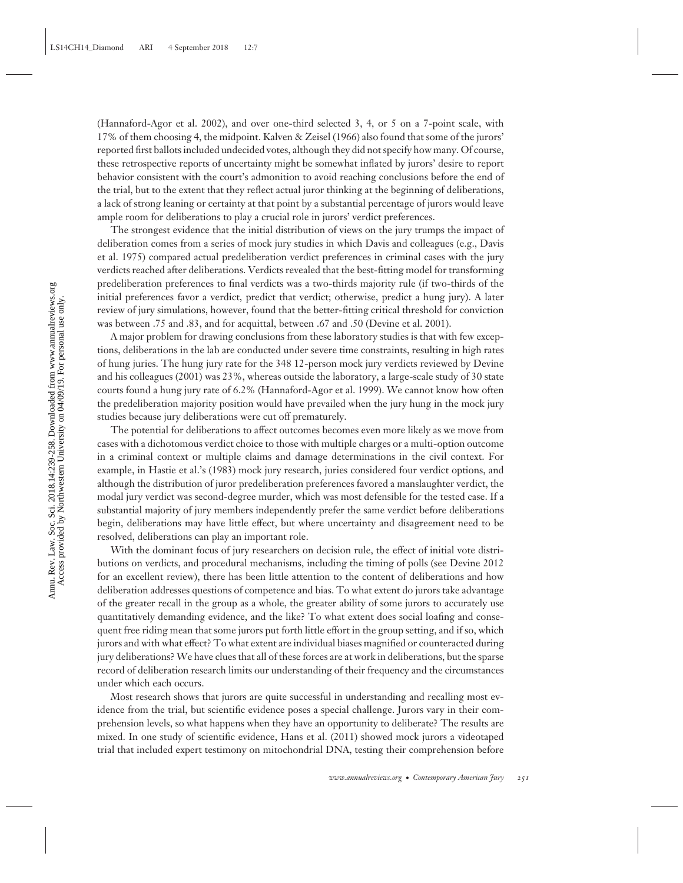(Hannaford-Agor et al. 2002), and over one-third selected 3, 4, or 5 on a 7-point scale, with 17% of them choosing 4, the midpoint. Kalven & Zeisel (1966) also found that some of the jurors' reported first ballots included undecided votes, although they did not specify how many. Of course, these retrospective reports of uncertainty might be somewhat inflated by jurors' desire to report behavior consistent with the court's admonition to avoid reaching conclusions before the end of the trial, but to the extent that they reflect actual juror thinking at the beginning of deliberations, a lack of strong leaning or certainty at that point by a substantial percentage of jurors would leave ample room for deliberations to play a crucial role in jurors' verdict preferences.

The strongest evidence that the initial distribution of views on the jury trumps the impact of deliberation comes from a series of mock jury studies in which Davis and colleagues (e.g., Davis et al. 1975) compared actual predeliberation verdict preferences in criminal cases with the jury verdicts reached after deliberations. Verdicts revealed that the best-fitting model for transforming predeliberation preferences to final verdicts was a two-thirds majority rule (if two-thirds of the initial preferences favor a verdict, predict that verdict; otherwise, predict a hung jury). A later review of jury simulations, however, found that the better-fitting critical threshold for conviction was between .75 and .83, and for acquittal, between .67 and .50 (Devine et al. 2001).

A major problem for drawing conclusions from these laboratory studies is that with few exceptions, deliberations in the lab are conducted under severe time constraints, resulting in high rates of hung juries. The hung jury rate for the 348 12-person mock jury verdicts reviewed by Devine and his colleagues (2001) was 23%, whereas outside the laboratory, a large-scale study of 30 state courts found a hung jury rate of 6.2% (Hannaford-Agor et al. 1999). We cannot know how often the predeliberation majority position would have prevailed when the jury hung in the mock jury studies because jury deliberations were cut off prematurely.

The potential for deliberations to affect outcomes becomes even more likely as we move from cases with a dichotomous verdict choice to those with multiple charges or a multi-option outcome in a criminal context or multiple claims and damage determinations in the civil context. For example, in Hastie et al.'s (1983) mock jury research, juries considered four verdict options, and although the distribution of juror predeliberation preferences favored a manslaughter verdict, the modal jury verdict was second-degree murder, which was most defensible for the tested case. If a substantial majority of jury members independently prefer the same verdict before deliberations begin, deliberations may have little effect, but where uncertainty and disagreement need to be resolved, deliberations can play an important role.

With the dominant focus of jury researchers on decision rule, the effect of initial vote distributions on verdicts, and procedural mechanisms, including the timing of polls (see Devine 2012 for an excellent review), there has been little attention to the content of deliberations and how deliberation addresses questions of competence and bias. To what extent do jurors take advantage of the greater recall in the group as a whole, the greater ability of some jurors to accurately use quantitatively demanding evidence, and the like? To what extent does social loafing and consequent free riding mean that some jurors put forth little effort in the group setting, and if so, which jurors and with what effect? To what extent are individual biases magnified or counteracted during jury deliberations? We have clues that all of these forces are at work in deliberations, but the sparse record of deliberation research limits our understanding of their frequency and the circumstances under which each occurs.

Most research shows that jurors are quite successful in understanding and recalling most evidence from the trial, but scientific evidence poses a special challenge. Jurors vary in their comprehension levels, so what happens when they have an opportunity to deliberate? The results are mixed. In one study of scientific evidence, Hans et al. (2011) showed mock jurors a videotaped trial that included expert testimony on mitochondrial DNA, testing their comprehension before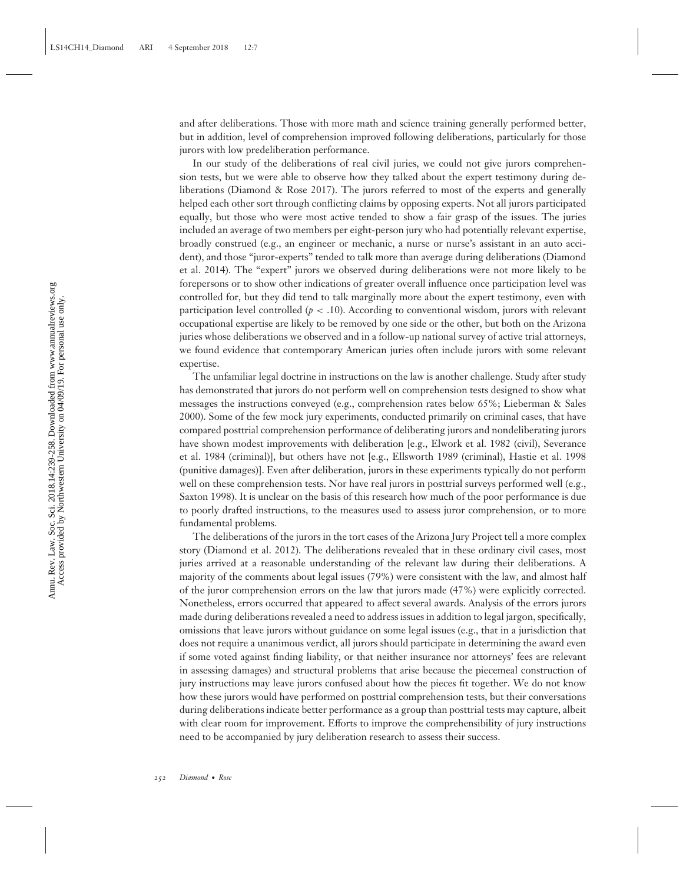and after deliberations. Those with more math and science training generally performed better, but in addition, level of comprehension improved following deliberations, particularly for those jurors with low predeliberation performance.

In our study of the deliberations of real civil juries, we could not give jurors comprehension tests, but we were able to observe how they talked about the expert testimony during deliberations (Diamond & Rose 2017). The jurors referred to most of the experts and generally helped each other sort through conflicting claims by opposing experts. Not all jurors participated equally, but those who were most active tended to show a fair grasp of the issues. The juries included an average of two members per eight-person jury who had potentially relevant expertise, broadly construed (e.g., an engineer or mechanic, a nurse or nurse's assistant in an auto accident), and those "juror-experts" tended to talk more than average during deliberations (Diamond et al. 2014). The "expert" jurors we observed during deliberations were not more likely to be forepersons or to show other indications of greater overall influence once participation level was controlled for, but they did tend to talk marginally more about the expert testimony, even with participation level controlled (*p <* .10). According to conventional wisdom, jurors with relevant occupational expertise are likely to be removed by one side or the other, but both on the Arizona juries whose deliberations we observed and in a follow-up national survey of active trial attorneys, we found evidence that contemporary American juries often include jurors with some relevant expertise.

The unfamiliar legal doctrine in instructions on the law is another challenge. Study after study has demonstrated that jurors do not perform well on comprehension tests designed to show what messages the instructions conveyed (e.g., comprehension rates below 65%; Lieberman & Sales 2000). Some of the few mock jury experiments, conducted primarily on criminal cases, that have compared posttrial comprehension performance of deliberating jurors and nondeliberating jurors have shown modest improvements with deliberation [e.g., Elwork et al. 1982 (civil), Severance et al. 1984 (criminal)], but others have not [e.g., Ellsworth 1989 (criminal), Hastie et al. 1998 (punitive damages)]. Even after deliberation, jurors in these experiments typically do not perform well on these comprehension tests. Nor have real jurors in posttrial surveys performed well (e.g., Saxton 1998). It is unclear on the basis of this research how much of the poor performance is due to poorly drafted instructions, to the measures used to assess juror comprehension, or to more fundamental problems.

The deliberations of the jurors in the tort cases of the Arizona Jury Project tell a more complex story (Diamond et al. 2012). The deliberations revealed that in these ordinary civil cases, most juries arrived at a reasonable understanding of the relevant law during their deliberations. A majority of the comments about legal issues (79%) were consistent with the law, and almost half of the juror comprehension errors on the law that jurors made (47%) were explicitly corrected. Nonetheless, errors occurred that appeared to affect several awards. Analysis of the errors jurors made during deliberations revealed a need to address issues in addition to legal jargon, specifically, omissions that leave jurors without guidance on some legal issues (e.g., that in a jurisdiction that does not require a unanimous verdict, all jurors should participate in determining the award even if some voted against finding liability, or that neither insurance nor attorneys' fees are relevant in assessing damages) and structural problems that arise because the piecemeal construction of jury instructions may leave jurors confused about how the pieces fit together. We do not know how these jurors would have performed on posttrial comprehension tests, but their conversations during deliberations indicate better performance as a group than posttrial tests may capture, albeit with clear room for improvement. Efforts to improve the comprehensibility of jury instructions need to be accompanied by jury deliberation research to assess their success.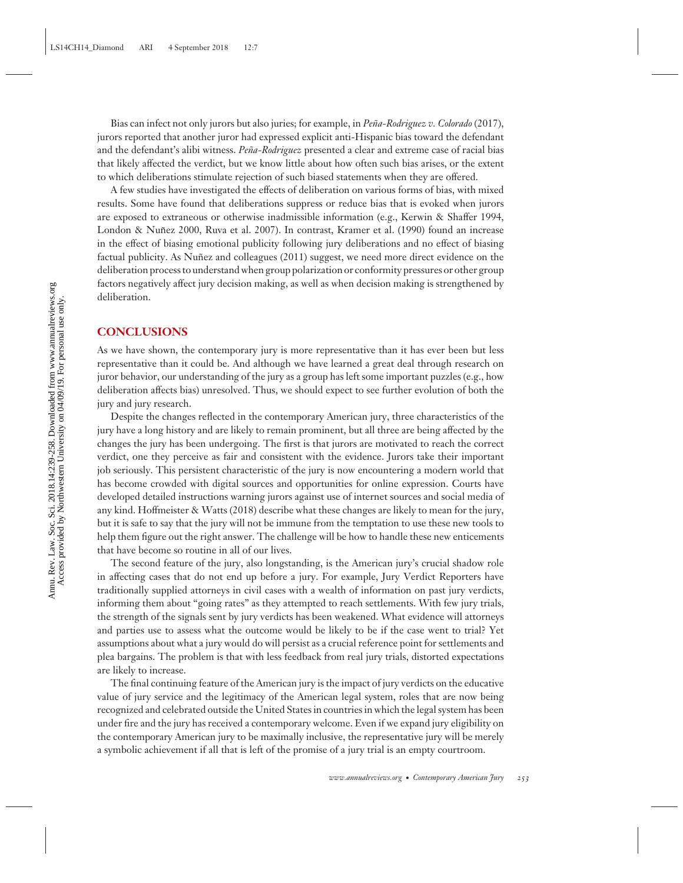Bias can infect not only jurors but also juries; for example, in *Pe˜na-Rodriguez v. Colorado* (2017), jurors reported that another juror had expressed explicit anti-Hispanic bias toward the defendant and the defendant's alibi witness. *Peña-Rodriguez* presented a clear and extreme case of racial bias that likely affected the verdict, but we know little about how often such bias arises, or the extent to which deliberations stimulate rejection of such biased statements when they are offered.

A few studies have investigated the effects of deliberation on various forms of bias, with mixed results. Some have found that deliberations suppress or reduce bias that is evoked when jurors are exposed to extraneous or otherwise inadmissible information (e.g., Kerwin & Shaffer 1994, London & Nuñez 2000, Ruva et al. 2007). In contrast, Kramer et al. (1990) found an increase in the effect of biasing emotional publicity following jury deliberations and no effect of biasing factual publicity. As Nuñez and colleagues (2011) suggest, we need more direct evidence on the deliberation process to understand when group polarization or conformity pressures or other group factors negatively affect jury decision making, as well as when decision making is strengthened by deliberation.

### **CONCLUSIONS**

As we have shown, the contemporary jury is more representative than it has ever been but less representative than it could be. And although we have learned a great deal through research on juror behavior, our understanding of the jury as a group has left some important puzzles (e.g., how deliberation affects bias) unresolved. Thus, we should expect to see further evolution of both the jury and jury research.

Despite the changes reflected in the contemporary American jury, three characteristics of the jury have a long history and are likely to remain prominent, but all three are being affected by the changes the jury has been undergoing. The first is that jurors are motivated to reach the correct verdict, one they perceive as fair and consistent with the evidence. Jurors take their important job seriously. This persistent characteristic of the jury is now encountering a modern world that has become crowded with digital sources and opportunities for online expression. Courts have developed detailed instructions warning jurors against use of internet sources and social media of any kind. Hoffmeister & Watts (2018) describe what these changes are likely to mean for the jury, but it is safe to say that the jury will not be immune from the temptation to use these new tools to help them figure out the right answer. The challenge will be how to handle these new enticements that have become so routine in all of our lives.

The second feature of the jury, also longstanding, is the American jury's crucial shadow role in affecting cases that do not end up before a jury. For example, Jury Verdict Reporters have traditionally supplied attorneys in civil cases with a wealth of information on past jury verdicts, informing them about "going rates" as they attempted to reach settlements. With few jury trials, the strength of the signals sent by jury verdicts has been weakened. What evidence will attorneys and parties use to assess what the outcome would be likely to be if the case went to trial? Yet assumptions about what a jury would do will persist as a crucial reference point for settlements and plea bargains. The problem is that with less feedback from real jury trials, distorted expectations are likely to increase.

The final continuing feature of the American jury is the impact of jury verdicts on the educative value of jury service and the legitimacy of the American legal system, roles that are now being recognized and celebrated outside the United States in countries in which the legal system has been under fire and the jury has received a contemporary welcome. Even if we expand jury eligibility on the contemporary American jury to be maximally inclusive, the representative jury will be merely a symbolic achievement if all that is left of the promise of a jury trial is an empty courtroom.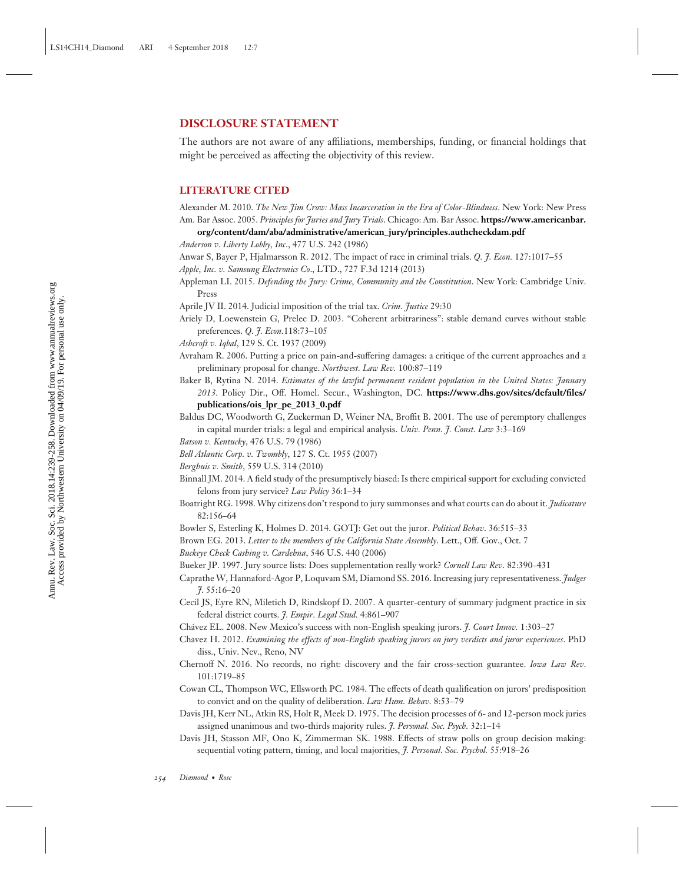### **DISCLOSURE STATEMENT**

The authors are not aware of any affiliations, memberships, funding, or financial holdings that might be perceived as affecting the objectivity of this review.

### **LITERATURE CITED**

Alexander M. 2010. *The New Jim Crow: Mass Incarceration in the Era of Color-Blindness*. New York: New Press Am. Bar Assoc. 2005. *Principles for Juries and Jury Trials*. Chicago: Am. Bar Assoc. **[https://www.americanbar.](https://www.americanbar.org/content/dam/aba/administrative/american_jury/principles.authcheckdam.pdf)**

**[org/content/dam/aba/administrative/american\\_jury/principles.authcheckdam.pdf](https://www.americanbar.org/content/dam/aba/administrative/american_jury/principles.authcheckdam.pdf)**

*Anderson v. Liberty Lobby, Inc*., 477 U.S. 242 (1986)

Anwar S, Bayer P, Hjalmarsson R. 2012. The impact of race in criminal trials. *Q. J. Econ.* 127:1017–55

*Apple, Inc. v. Samsung Electronics Co*., LTD., 727 F.3d 1214 (2013)

Appleman LI. 2015. *Defending the Jury: Crime, Community and the Constitution*. New York: Cambridge Univ. Press

Aprile JV II. 2014. Judicial imposition of the trial tax. *Crim. Justice* 29:30

Ariely D, Loewenstein G, Prelec D. 2003. "Coherent arbitrariness": stable demand curves without stable preferences. *Q. J. Econ.*118:73–105

*Ashcroft v. Iqbal*, 129 S. Ct. 1937 (2009)

Avraham R. 2006. Putting a price on pain-and-suffering damages: a critique of the current approaches and a preliminary proposal for change. *Northwest. Law Rev.* 100:87–119

Baker B, Rytina N. 2014. *Estimates of the lawful permanent resident population in the United States: January 2013*. Policy Dir., Off. Homel. Secur., Washington, DC. **[https://www.dhs.gov/sites/default/files/](https://www.dhs.gov/sites/default/files/publications/ois_lpr_pe_2013_0.pdf) [publications/ois\\_lpr\\_pe\\_2013\\_0.pdf](https://www.dhs.gov/sites/default/files/publications/ois_lpr_pe_2013_0.pdf)**

Baldus DC, Woodworth G, Zuckerman D, Weiner NA, Broffit B. 2001. The use of peremptory challenges in capital murder trials: a legal and empirical analysis. *Univ. Penn. J. Const. Law* 3:3–169

- *Batson v. Kentucky*, 476 U.S. 79 (1986)
- *Bell Atlantic Corp. v. Twombly*, 127 S. Ct. 1955 (2007)

*Berghuis v. Smith*, 559 U.S. 314 (2010)

- Binnall JM. 2014. A field study of the presumptively biased: Is there empirical support for excluding convicted felons from jury service? *Law Policy* 36:1–34
- Boatright RG. 1998. Why citizens don't respond to jury summonses and what courts can do about it. *Judicature* 82:156–64
- Bowler S, Esterling K, Holmes D. 2014. GOTJ: Get out the juror. *Political Behav*. 36:515–33
- Brown EG. 2013. *Letter to the members of the California State Assembly*. Lett., Off. Gov., Oct. 7
- *Buckeye Check Cashing v. Cardehna*, 546 U.S. 440 (2006)
- Bueker JP. 1997. Jury source lists: Does supplementation really work? *Cornell Law Rev*. 82:390–431
- Caprathe W, Hannaford-Agor P, Loquvam SM, Diamond SS. 2016. Increasing jury representativeness. *Judges J*. 55:16–20
- Cecil JS, Eyre RN, Miletich D, Rindskopf D. 2007. A quarter-century of summary judgment practice in six federal district courts. *J. Empir. Legal Stud.* 4:861–907
- Chávez EL. 2008. New Mexico's success with non-English speaking jurors. *7. Court Innov.* 1:303–27
- Chavez H. 2012. *Examining the effects of non-English speaking jurors on jury verdicts and juror experiences*. PhD diss., Univ. Nev., Reno, NV
- Chernoff N. 2016. No records, no right: discovery and the fair cross-section guarantee. *Iowa Law Rev*. 101:1719–85
- Cowan CL, Thompson WC, Ellsworth PC. 1984. The effects of death qualification on jurors' predisposition to convict and on the quality of deliberation. *Law Hum. Behav.* 8:53–79
- Davis JH, Kerr NL, Atkin RS, Holt R, Meek D. 1975. The decision processes of 6- and 12-person mock juries assigned unanimous and two-thirds majority rules. *J. Personal. Soc. Psych.* 32:1–14
- Davis JH, Stasson MF, Ono K, Zimmerman SK. 1988. Effects of straw polls on group decision making: sequential voting pattern, timing, and local majorities, *J. Personal. Soc. Psychol.* 55:918–26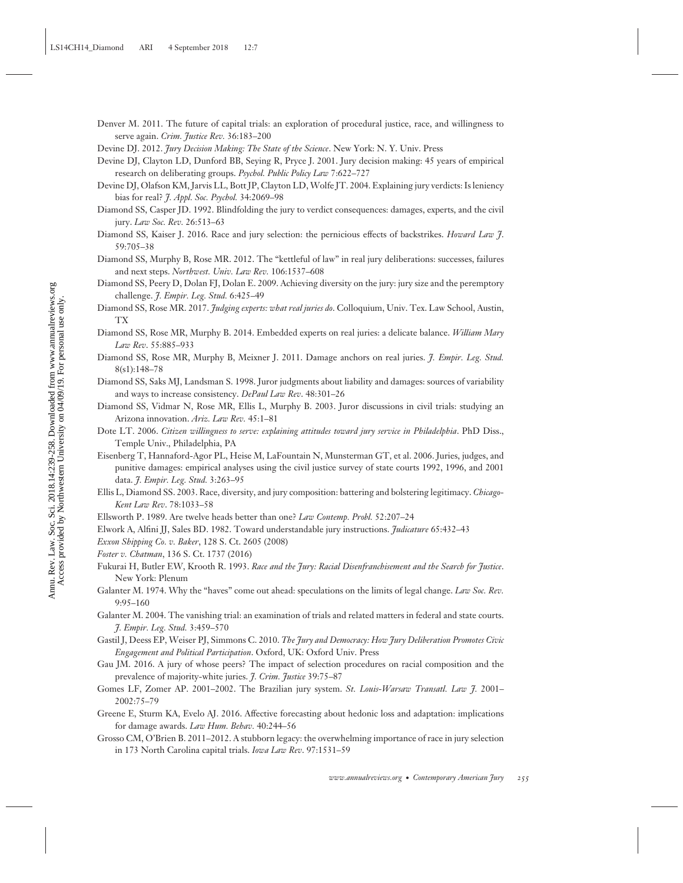- Annu. Rev. Law. Soc. Sci. 2018.14:239-258. Downloaded from www.annualreviews.org<br>Access provided by Northwestern University on 04/09/19. For personal use only. Annu. Rev. Law. Soc. Sci. 2018.14:239-258. Downloaded from www.annualreviews.org Access provided by Northwestern University on 04/09/19. For personal use only.
- Denver M. 2011. The future of capital trials: an exploration of procedural justice, race, and willingness to serve again. *Crim. Justice Rev.* 36:183–200
- Devine DJ. 2012. *Jury Decision Making: The State of the Science*. New York: N. Y. Univ. Press
- Devine DJ, Clayton LD, Dunford BB, Seying R, Pryce J. 2001. Jury decision making: 45 years of empirical research on deliberating groups. *Psychol. Public Policy Law* 7:622–727
- Devine DJ, Olafson KM, Jarvis LL, Bott JP, Clayton LD, Wolfe JT. 2004. Explaining jury verdicts: Is leniency bias for real? *J. Appl. Soc. Psychol.* 34:2069–98
- Diamond SS, Casper JD. 1992. Blindfolding the jury to verdict consequences: damages, experts, and the civil jury. *Law Soc. Rev.* 26:513–63
- Diamond SS, Kaiser J. 2016. Race and jury selection: the pernicious effects of backstrikes. *Howard Law J*. 59:705–38
- Diamond SS, Murphy B, Rose MR. 2012. The "kettleful of law" in real jury deliberations: successes, failures and next steps. *Northwest. Univ. Law Rev.* 106:1537–608
- Diamond SS, Peery D, Dolan FJ, Dolan E. 2009. Achieving diversity on the jury: jury size and the peremptory challenge. *J. Empir. Leg. Stud.* 6:425–49
- Diamond SS, Rose MR. 2017. *Judging experts: what real juries do*. Colloquium, Univ. Tex. Law School, Austin, TX
- Diamond SS, Rose MR, Murphy B. 2014. Embedded experts on real juries: a delicate balance. *William Mary Law Rev*. 55:885–933
- Diamond SS, Rose MR, Murphy B, Meixner J. 2011. Damage anchors on real juries. *J. Empir. Leg. Stud.* 8(s1):148–78
- Diamond SS, Saks MJ, Landsman S. 1998. Juror judgments about liability and damages: sources of variability and ways to increase consistency. *DePaul Law Rev*. 48:301–26
- Diamond SS, Vidmar N, Rose MR, Ellis L, Murphy B. 2003. Juror discussions in civil trials: studying an Arizona innovation. *Ariz. Law Rev.* 45:1–81
- Dote LT. 2006. *Citizen willingness to serve: explaining attitudes toward jury service in Philadelphia*. PhD Diss., Temple Univ., Philadelphia, PA
- Eisenberg T, Hannaford-Agor PL, Heise M, LaFountain N, Munsterman GT, et al. 2006. Juries, judges, and punitive damages: empirical analyses using the civil justice survey of state courts 1992, 1996, and 2001 data. *J. Empir. Leg. Stud.* 3:263–95
- Ellis L, Diamond SS. 2003. Race, diversity, and jury composition: battering and bolstering legitimacy. *Chicago-Kent Law Rev*. 78:1033–58
- Ellsworth P. 1989. Are twelve heads better than one? *Law Contemp. Probl.* 52:207–24
- Elwork A, Alfini JJ, Sales BD. 1982. Toward understandable jury instructions. *Judicature* 65:432–43
- *Exxon Shipping Co. v. Baker*, 128 S. Ct. 2605 (2008)
- *Foster v. Chatman*, 136 S. Ct. 1737 (2016)
- Fukurai H, Butler EW, Krooth R. 1993. *Race and the Jury: Racial Disenfranchisement and the Search for Justice*. New York: Plenum
- Galanter M. 1974. Why the "haves" come out ahead: speculations on the limits of legal change. *Law Soc. Rev.* 9:95–160
- Galanter M. 2004. The vanishing trial: an examination of trials and related matters in federal and state courts. *J. Empir. Leg. Stud.* 3:459–570
- Gastil J, Deess EP, Weiser PJ, Simmons C. 2010. *The Jury and Democracy: How Jury Deliberation Promotes Civic Engagement and Political Participation*. Oxford, UK: Oxford Univ. Press
- Gau JM. 2016. A jury of whose peers? The impact of selection procedures on racial composition and the prevalence of majority-white juries. *J. Crim. Justice* 39:75–87
- Gomes LF, Zomer AP. 2001–2002. The Brazilian jury system. *St. Louis-Warsaw Transatl. Law J.* 2001– 2002:75–79
- Greene E, Sturm KA, Evelo AJ. 2016. Affective forecasting about hedonic loss and adaptation: implications for damage awards. *Law Hum. Behav.* 40:244–56
- Grosso CM, O'Brien B. 2011–2012. A stubborn legacy: the overwhelming importance of race in jury selection in 173 North Carolina capital trials. *Iowa Law Rev*. 97:1531–59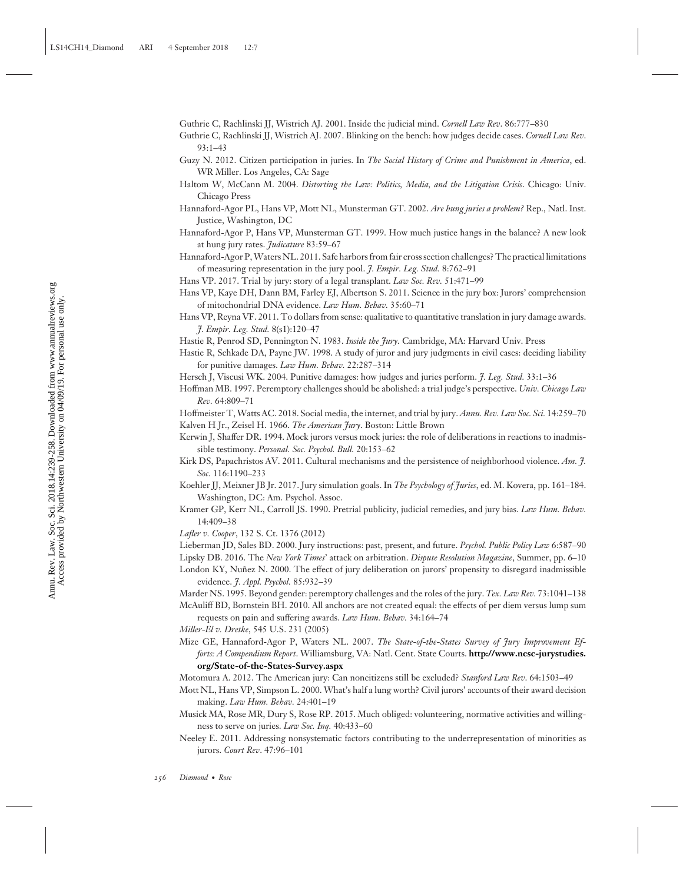Guthrie C, Rachlinski JJ, Wistrich AJ. 2001. Inside the judicial mind. *Cornell Law Rev*. 86:777–830

- Guthrie C, Rachlinski JJ, Wistrich AJ. 2007. Blinking on the bench: how judges decide cases. *Cornell Law Rev*. 93:1–43
- Guzy N. 2012. Citizen participation in juries. In *The Social History of Crime and Punishment in America*, ed. WR Miller. Los Angeles, CA: Sage
- Haltom W, McCann M. 2004. *Distorting the Law: Politics, Media, and the Litigation Crisis*. Chicago: Univ. Chicago Press
- Hannaford-Agor PL, Hans VP, Mott NL, Munsterman GT. 2002. *Are hung juries a problem?* Rep., Natl. Inst. Justice, Washington, DC
- Hannaford-Agor P, Hans VP, Munsterman GT. 1999. How much justice hangs in the balance? A new look at hung jury rates. *Judicature* 83:59–67
- Hannaford-Agor P,Waters NL. 2011. Safe harbors from fair cross section challenges? The practical limitations of measuring representation in the jury pool. *J. Empir. Leg. Stud.* 8:762–91
- Hans VP. 2017. Trial by jury: story of a legal transplant. *Law Soc. Rev.* 51:471–99
- Hans VP, Kaye DH, Dann BM, Farley EJ, Albertson S. 2011. Science in the jury box: Jurors' comprehension of mitochondrial DNA evidence. *Law Hum. Behav.* 35:60–71
- Hans VP, Reyna VF. 2011. To dollars from sense: qualitative to quantitative translation in jury damage awards. *J. Empir. Leg. Stud.* 8(s1):120–47
- Hastie R, Penrod SD, Pennington N. 1983. *Inside the Jury*. Cambridge, MA: Harvard Univ. Press
- Hastie R, Schkade DA, Payne JW. 1998. A study of juror and jury judgments in civil cases: deciding liability for punitive damages. *Law Hum. Behav.* 22:287–314
- Hersch J, Viscusi WK. 2004. Punitive damages: how judges and juries perform. *J. Leg. Stud.* 33:1–36
- Hoffman MB. 1997. Peremptory challenges should be abolished: a trial judge's perspective. *Univ. Chicago Law Rev.* 64:809–71

Hoffmeister T,Watts AC. 2018. Social media, the internet, and trial by jury. *Annu. Rev. Law Soc. Sci.* 14:259–70

- Kalven H Jr., Zeisel H. 1966. *The American Jury*. Boston: Little Brown
- Kerwin J, Shaffer DR. 1994. Mock jurors versus mock juries: the role of deliberations in reactions to inadmissible testimony. *Personal. Soc. Psychol. Bull.* 20:153–62
- Kirk DS, Papachristos AV. 2011. Cultural mechanisms and the persistence of neighborhood violence. *Am. J. Soc.* 116:1190–233
- Koehler JJ, Meixner JB Jr. 2017. Jury simulation goals. In *The Psychology of Juries*, ed. M. Kovera, pp. 161–184. Washington, DC: Am. Psychol. Assoc.
- Kramer GP, Kerr NL, Carroll JS. 1990. Pretrial publicity, judicial remedies, and jury bias. *Law Hum. Behav.* 14:409–38

*Lafler v. Cooper*, 132 S. Ct. 1376 (2012)

Lieberman JD, Sales BD. 2000. Jury instructions: past, present, and future. *Psychol. Public Policy Law* 6:587–90

Lipsky DB. 2016. The *New York Times*' attack on arbitration. *Dispute Resolution Magazine*, Summer, pp. 6–10 London KY, Nuñez N. 2000. The effect of jury deliberation on jurors' propensity to disregard inadmissible

evidence. *J. Appl. Psychol.* 85:932–39

Marder NS. 1995. Beyond gender: peremptory challenges and the roles of the jury. *Tex. Law Rev.* 73:1041–138 McAuliff BD, Bornstein BH. 2010. All anchors are not created equal: the effects of per diem versus lump sum

requests on pain and suffering awards. *Law Hum. Behav.* 34:164–74

*Miller-El v. Dretke*, 545 U.S. 231 (2005)

Mize GE, Hannaford-Agor P, Waters NL. 2007. *The State-of-the-States Survey of Jury Improvement Efforts: A Compendium Report*. Williamsburg, VA: Natl. Cent. State Courts. **[http://www.ncsc-jurystudies.](http://www.ncsc-jurystudies.org/State-of-the-States-Survey.aspx) [org/State-of-the-States-Survey.aspx](http://www.ncsc-jurystudies.org/State-of-the-States-Survey.aspx)**

Motomura A. 2012. The American jury: Can noncitizens still be excluded? *Stanford Law Rev*. 64:1503–49

- Mott NL, Hans VP, Simpson L. 2000. What's half a lung worth? Civil jurors' accounts of their award decision making. *Law Hum. Behav.* 24:401–19
- Musick MA, Rose MR, Dury S, Rose RP. 2015. Much obliged: volunteering, normative activities and willingness to serve on juries. *Law Soc. Inq.* 40:433–60
- Neeley E. 2011. Addressing nonsystematic factors contributing to the underrepresentation of minorities as jurors. *Court Rev*. 47:96–101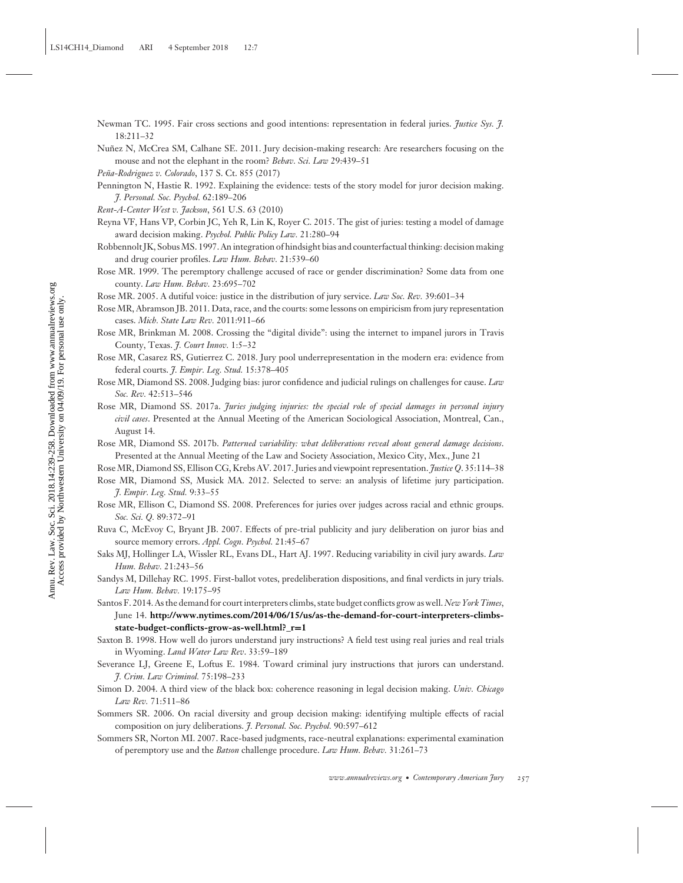- Newman TC. 1995. Fair cross sections and good intentions: representation in federal juries. *Justice Sys. J.* 18:211–32
- Nuñez N, McCrea SM, Calhane SE. 2011. Jury decision-making research: Are researchers focusing on the mouse and not the elephant in the room? *Behav. Sci. Law* 29:439–51

*Pe˜na-Rodriguez v. Colorado*, 137 S. Ct. 855 (2017)

- Pennington N, Hastie R. 1992. Explaining the evidence: tests of the story model for juror decision making. *J. Personal. Soc. Psychol.* 62:189–206
- *Rent-A-Center West v. Jackson*, 561 U.S. 63 (2010)
- Reyna VF, Hans VP, Corbin JC, Yeh R, Lin K, Royer C. 2015. The gist of juries: testing a model of damage award decision making. *Psychol. Public Policy Law.* 21:280–94
- Robbennolt JK, Sobus MS. 1997. An integration of hindsight bias and counterfactual thinking: decision making and drug courier profiles. *Law Hum. Behav.* 21:539–60
- Rose MR. 1999. The peremptory challenge accused of race or gender discrimination? Some data from one county. *Law Hum. Behav.* 23:695–702
- Rose MR. 2005. A dutiful voice: justice in the distribution of jury service. *Law Soc. Rev.* 39:601–34
- Rose MR, Abramson JB. 2011. Data, race, and the courts: some lessons on empiricism from jury representation cases. *Mich. State Law Rev.* 2011:911–66
- Rose MR, Brinkman M. 2008. Crossing the "digital divide": using the internet to impanel jurors in Travis County, Texas. *J. Court Innov.* 1:5–32
- Rose MR, Casarez RS, Gutierrez C. 2018. Jury pool underrepresentation in the modern era: evidence from federal courts. *J. Empir. Leg. Stud.* 15:378–405
- Rose MR, Diamond SS. 2008. Judging bias: juror confidence and judicial rulings on challenges for cause. *Law Soc. Rev.* 42:513–546
- Rose MR, Diamond SS. 2017a. *Juries judging injuries: the special role of special damages in personal injury civil cases*. Presented at the Annual Meeting of the American Sociological Association, Montreal, Can., August 14.
- Rose MR, Diamond SS. 2017b. *Patterned variability: what deliberations reveal about general damage decisions*. Presented at the Annual Meeting of the Law and Society Association, Mexico City, Mex., June 21
- Rose MR, Diamond SS, Ellison CG, Krebs AV. 2017. Juries and viewpoint representation. *Justice Q*. 35:114–38
- Rose MR, Diamond SS, Musick MA. 2012. Selected to serve: an analysis of lifetime jury participation. *J. Empir. Leg. Stud.* 9:33–55
- Rose MR, Ellison C, Diamond SS. 2008. Preferences for juries over judges across racial and ethnic groups. *Soc. Sci. Q.* 89:372–91
- Ruva C, McEvoy C, Bryant JB. 2007. Effects of pre-trial publicity and jury deliberation on juror bias and source memory errors. *Appl. Cogn. Psychol.* 21:45–67
- Saks MJ, Hollinger LA, Wissler RL, Evans DL, Hart AJ. 1997. Reducing variability in civil jury awards. *Law Hum. Behav.* 21:243–56
- Sandys M, Dillehay RC. 1995. First-ballot votes, predeliberation dispositions, and final verdicts in jury trials. *Law Hum. Behav.* 19:175–95
- Santos F. 2014. As the demand for court interpreters climbs, state budget conflicts grow as well.*New York Times*, June 14. **[http://www.nytimes.com/2014/06/15/us/as-the-demand-for-court-interpreters-climbs](http://www.nytimes.com/2014/06/15/us/as-the-demand-for-court-interpreters-climbs-state-budget-conflicts-grow-as-well.html?_r = 1)[state-budget-conflicts-grow-as-well.html?\\_r](http://www.nytimes.com/2014/06/15/us/as-the-demand-for-court-interpreters-climbs-state-budget-conflicts-grow-as-well.html?_r = 1)=1**
- Saxton B. 1998. How well do jurors understand jury instructions? A field test using real juries and real trials in Wyoming. *Land Water Law Rev*. 33:59–189
- Severance LJ, Greene E, Loftus E. 1984. Toward criminal jury instructions that jurors can understand. *J. Crim. Law Criminol.* 75:198–233
- Simon D. 2004. A third view of the black box: coherence reasoning in legal decision making. *Univ. Chicago Law Rev.* 71:511–86
- Sommers SR. 2006. On racial diversity and group decision making: identifying multiple effects of racial composition on jury deliberations. *J. Personal. Soc. Psychol.* 90:597–612
- Sommers SR, Norton MI. 2007. Race-based judgments, race-neutral explanations: experimental examination of peremptory use and the *Batson* challenge procedure. *Law Hum. Behav.* 31:261–73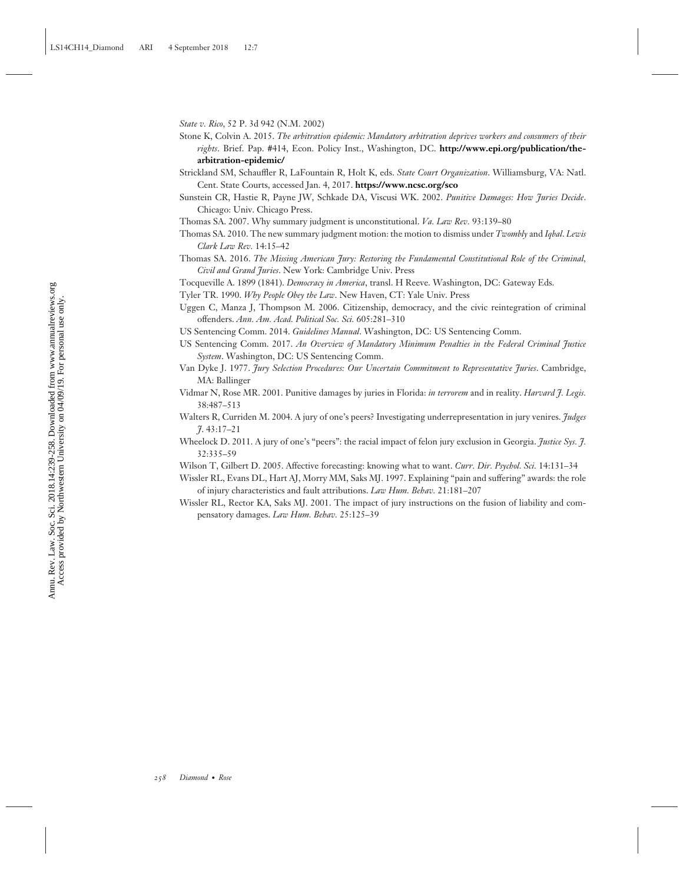*State v. Rico*, 52 P. 3d 942 (N.M. 2002)

Stone K, Colvin A. 2015. *The arbitration epidemic: Mandatory arbitration deprives workers and consumers of their rights*. Brief. Pap. #414, Econ. Policy Inst., Washington, DC. **[http://www.epi.org/publication/the](http://www.epi.org/publication/the-arbitration-epidemic/)[arbitration-epidemic/](http://www.epi.org/publication/the-arbitration-epidemic/)**

Strickland SM, Schauffler R, LaFountain R, Holt K, eds. *State Court Organization*. Williamsburg, VA: Natl. Cent. State Courts, accessed Jan. 4, 2017. **<https://www.ncsc.org/sco>**

- Sunstein CR, Hastie R, Payne JW, Schkade DA, Viscusi WK. 2002. *Punitive Damages: How Juries Decide*. Chicago: Univ. Chicago Press.
- Thomas SA. 2007. Why summary judgment is unconstitutional. *Va. Law Rev.* 93:139–80
- Thomas SA. 2010. The new summary judgment motion: the motion to dismiss under *Twombly* and *Iqbal*. *Lewis Clark Law Rev.* 14:15–42
- Thomas SA. 2016. *The Missing American Jury: Restoring the Fundamental Constitutional Role of the Criminal, Civil and Grand Juries*. New York: Cambridge Univ. Press
- Tocqueville A. 1899 (1841). *Democracy in America*, transl. H Reeve. Washington, DC: Gateway Eds.
- Tyler TR. 1990. *Why People Obey the Law*. New Haven, CT: Yale Univ. Press
- Uggen C, Manza J, Thompson M. 2006. Citizenship, democracy, and the civic reintegration of criminal offenders. *Ann. Am. Acad. Political Soc. Sci.* 605:281–310
- US Sentencing Comm. 2014. *Guidelines Manual*. Washington, DC: US Sentencing Comm.
- US Sentencing Comm. 2017. *An Overview of Mandatory Minimum Penalties in the Federal Criminal Justice System*. Washington, DC: US Sentencing Comm.
- Van Dyke J. 1977. *Jury Selection Procedures: Our Uncertain Commitment to Representative Juries*. Cambridge, MA: Ballinger
- Vidmar N, Rose MR. 2001. Punitive damages by juries in Florida: *in terrorem* and in reality. *Harvard J. Legis.* 38:487–513
- Walters R, Curriden M. 2004. A jury of one's peers? Investigating underrepresentation in jury venires. *Judges J*. 43:17–21
- Wheelock D. 2011. A jury of one's "peers": the racial impact of felon jury exclusion in Georgia. *Justice Sys. J.* 32:335–59
- Wilson T, Gilbert D. 2005. Affective forecasting: knowing what to want. *Curr. Dir. Psychol. Sci.* 14:131–34
- Wissler RL, Evans DL, Hart AJ, Morry MM, Saks MJ. 1997. Explaining "pain and suffering" awards: the role of injury characteristics and fault attributions. *Law Hum. Behav.* 21:181–207
- Wissler RL, Rector KA, Saks MJ. 2001. The impact of jury instructions on the fusion of liability and compensatory damages. *Law Hum. Behav.* 25:125–39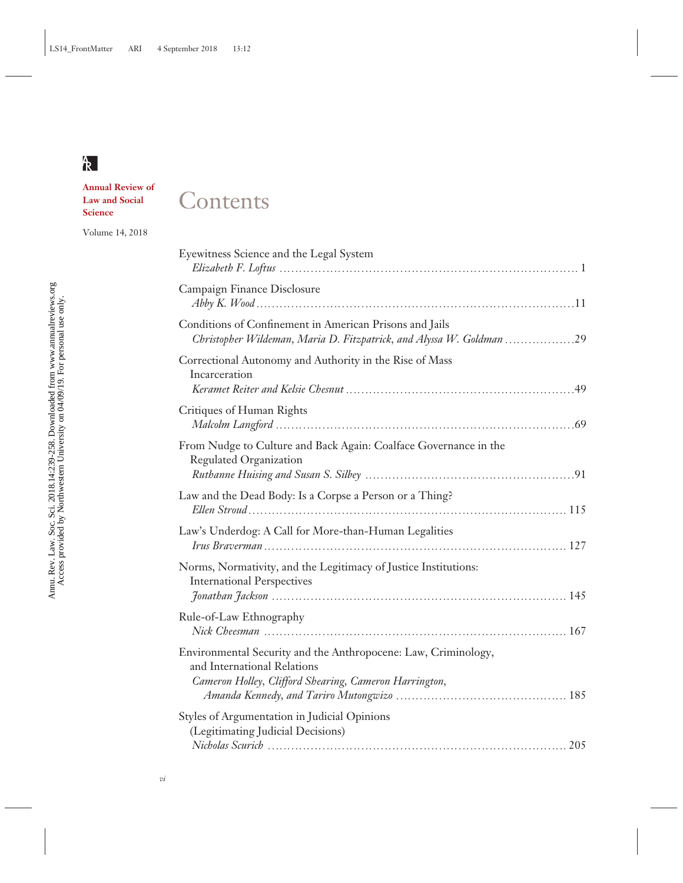# $R$

**Annual Review of Law and Social Science**

Volume 14, 2018

# **Contents**

| Eyewitness Science and the Legal System                                                                                                                 |
|---------------------------------------------------------------------------------------------------------------------------------------------------------|
| Campaign Finance Disclosure                                                                                                                             |
| Conditions of Confinement in American Prisons and Jails<br>Christopher Wildeman, Maria D. Fitzpatrick, and Alyssa W. Goldman 29                         |
| Correctional Autonomy and Authority in the Rise of Mass<br>Incarceration                                                                                |
| Critiques of Human Rights                                                                                                                               |
| From Nudge to Culture and Back Again: Coalface Governance in the<br>Regulated Organization                                                              |
| Law and the Dead Body: Is a Corpse a Person or a Thing?                                                                                                 |
| Law's Underdog: A Call for More-than-Human Legalities                                                                                                   |
| Norms, Normativity, and the Legitimacy of Justice Institutions:<br><b>International Perspectives</b>                                                    |
| Rule-of-Law Ethnography                                                                                                                                 |
| Environmental Security and the Anthropocene: Law, Criminology,<br>and International Relations<br>Cameron Holley, Clifford Shearing, Cameron Harrington, |
| Styles of Argumentation in Judicial Opinions<br>(Legitimating Judicial Decisions)                                                                       |

# Annu. Rev. Law. Soc. Sci. 2018.14:239-258. Downloaded from www.annualreviews.org<br>Access provided by Northwestern University on 04/09/19. For personal use only. Annu. Rev. Law. Soc. Sci. 2018.14:239-258. Downloaded from www.annualreviews.org Access provided by Northwestern University on 04/09/19. For personal use only.